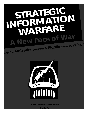# **<sup>A</sup> New Face of War STRATEGIC INFORMATION WARFARE**

**Roger C.Molander**/**Andrew S.Riddile**/**Peter A.Wilson**



**National Defense Research Institute** DAND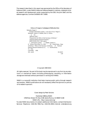The research described in this report was sponsored by the Office of the Secretary of Defense (OSD), under RAND's National Defense Research Institute, a federally funded research and development center supported by the OSD, the Joint Staff, and the defense agencies, Contract DASW01-95-C-0059.

#### **Library of Congress Cataloging in Publication Data** Molander, Roger C. Strategic information warfare : a new face of war / Roger C. Molander, Andrew S. Riddile, Peter A. Wilson. p. cm "MR-661-OSD." "Prepared for the Office of the Secretary of Defense." "National Defense Research Institute." ISBN 0-8330-2352-7 (alk. paper) 1. Information warfare. I. Riddile, Andrew S. II. Wilson, Peter (Peter A.), 1943– . III. United States. Dept. of Defense. Office of the Secretary of Defense. IV. National Defense Research Institute (U.S.). V. RAND (Firm). VI. Title. U163.M65 1996 355—dc20 95-53673 CIP

#### © Copyright 1996 RAND

All rights reserved. No part of this book may be reproduced in any form by any electronic or mechanical means (including photocopying, recording, or information storage and retrieval) without permission in writing from RAND.

RAND is a nonprofit institution that helps improve public policy through research and analysis. RAND's publications do not necessarily reflect the opinions or policies of its research sponsors.

Cover design by Peter Soriano

Published 1996 by RAND 1700 Main Street, P.O. Box 2138, Santa Monica, CA 90407-2138 RAND URL: http://www.rand.org/ To order RAND documents or to obtain additional information, contact Distribution Services: Telephone: (310) 451-7002; Fax: (310) 451-6915; Internet: order@rand.org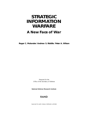# **STRATEGIC INFORMATION WARFARE**

## **A New Face of War**

**Roger C. Molander**/**Andrew S. Riddile**/**Peter A. Wilson**

Prepared for the Office of the Secretary of Defense

**National Defense Research Institute**

## **RAND**

Approved for public release; distribution unlimited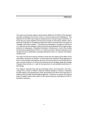This report summarizes research performed by RAND for the Office of the Assistant Secretary of Defense (Command, Control, Communications and Intelligence). The objective of this effort was to garner perspectives on a broad range of potential national security issues related to the evolving concept of information warfare, with a particular emphasis on the defensive aspects of what is characterized in the report as "strategic information warfare." The study was undertaken in recognition that future U.S. national security strategy is likely to be profoundly affected by the ongoing rapid evolution of cyberspace—the global information infrastructure—and in this context by the growing dependence of the U.S. military and other national institutions and infrastructures on potentially vulnerable elements of the U.S. national information infrastructure.

This report should be of special interest to those who are exploring the effect of the information revolution on warfare. It should also be of interest to those segments of the U.S. and broader international security community that are concerned with the post–cold war evolution of military and national security strategy, especially strategy changes driven wholly or in part by the evolution of, and possible revolutions in, technology.

The research reported here was accomplished within the Acquisition and Technology Policy Center of RAND's National Defense Research Institute, a federally funded research and development center sponsored by the Office of the Secretary of Defense, the Joint Staff, and the defense agencies. It builds on an earlier and ongoing body of research within that center on the national security implications of the information revolution.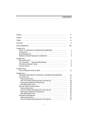|                                                                | iii              |
|----------------------------------------------------------------|------------------|
|                                                                | vii              |
|                                                                | ix               |
|                                                                | xi               |
|                                                                | xxiii            |
| <b>Chapter One</b><br>WHAT IS "STRATEGIC INFORMATION WARFARE?" | $\mathbf{1}$     |
|                                                                | $\mathbf{1}$     |
|                                                                | $\overline{c}$   |
| Defense-Oriented Tasking from OASD(C3I)                        | 3                |
| <b>Chapter Two</b>                                             |                  |
|                                                                | $\overline{5}$   |
| The "Day After " Exercise Methodology                          | $\overline{5}$   |
|                                                                | $\boldsymbol{6}$ |
|                                                                | 8                |
| <b>Chapter Three</b>                                           |                  |
| THE CHANGING FACE OF WAR                                       | 11               |
|                                                                |                  |
| <b>Chapter Four</b>                                            |                  |
| DEFINING FEATURES OF STRATEGIC INFORMATION WARFARE             | 15               |
|                                                                | 17               |
|                                                                | 17<br>18         |
| How This Feature Was Explored in the Exercise                  | 18               |
| Participants' Reactions/Perspectives                           | 18               |
|                                                                | 19               |
|                                                                | 19               |
|                                                                | 20               |
| How This Feature Was Explored in the Exercise                  | 20               |
| Participants' Reactions/Perspectives                           | 21               |
|                                                                | 22               |
|                                                                | 22               |
| How This Feature Was Explored in the Exercise                  | 23               |
|                                                                |                  |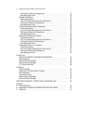| Participants' Reactions/Perspectives                       | 23 |
|------------------------------------------------------------|----|
|                                                            | 23 |
|                                                            | 24 |
|                                                            | 24 |
| How This Feature Was Explored in the Exercise              | 25 |
| Participants' Reactions/Perspectives                       | 25 |
|                                                            | 25 |
| Tactical Warning and Attack Assessment                     | 26 |
|                                                            | 26 |
| How This Feature Was Explored in the Exercise              | 27 |
| Participants' Reactions/Perspectives                       | 27 |
|                                                            | 28 |
| Building and Sustaining Coalitions                         | 28 |
|                                                            | 28 |
| How This Feature Was Explored in the Exercise              | 29 |
| Participants' Reactions/Perspectives                       | 29 |
|                                                            | 30 |
| Vulnerability of the U.S. Homeland                         | 30 |
|                                                            | 30 |
| How This Feature Was Explored in the Exercise              | 31 |
| Participants' Reactions/Perspectives                       | 31 |
|                                                            | 32 |
| <b>Chapter Five</b>                                        |    |
| ISSUES OF STRATEGIC INFORMATION WARFARE                    | 35 |
|                                                            | 35 |
|                                                            | 36 |
|                                                            | 38 |
|                                                            | 39 |
|                                                            |    |
| <b>Chapter Six</b>                                         |    |
|                                                            | 41 |
| Leadership: Who Should Be in Charge?                       | 41 |
|                                                            | 41 |
|                                                            | 42 |
|                                                            | 42 |
|                                                            | 42 |
| ADDITIONAL READING: THREATS AND VULNERABILITIES            | 43 |
| Appendix                                                   |    |
| A.                                                         | 45 |
| SUMMARY OF GROUP DELIBERATIONS FOR STEP THREE<br><b>B.</b> | 47 |
| C.                                                         | 53 |
|                                                            |    |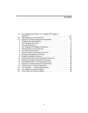| S.1. | The Changing Face of War: Four Strategic IW Theaters of |                  |
|------|---------------------------------------------------------|------------------|
|      | xiii                                                    |                  |
| S.2. | A Broad Spectrum of Perspectives<br>xviii               |                  |
| S.3. |                                                         | <b>XX</b>        |
| 1.   | Strategic Information Warfare                           | $\boldsymbol{2}$ |
| 2.   | 11                                                      |                  |
| 3.   | 12                                                      |                  |
| 4.   | Four Strategic IW "Theaters of Operation"<br>13         |                  |
| 5.   | 13<br>A Broad Spectrum of Perspectives                  |                  |
| 6.   | 19<br>Low-Entry-Cost Summary                            |                  |
| 7.   | Blurred Traditional Boundaries Summary<br>22            |                  |
| 8.   | Perception Management Summary<br>24                     |                  |
| 9.   | Strategic Intelligence Summary<br>26                    |                  |
| 10.  | Tactical Warning and Attack Assessment Summary<br>28    |                  |
| 11.  | Building and Sustaining Coalitions Summary<br>30        |                  |
| 12.  | Vulnerability of the U.S. Homeland Summary<br>33        |                  |
| 13.  | 38                                                      |                  |
| 14.  | A Spectrum of U.S. Government Roles<br>40               |                  |
| A.1. | 45                                                      |                  |
| B.1. | 48<br>Flow of Step One Decisionmaking                   |                  |
| B.2. | Flow of Step Two Decisionmaking<br>49                   |                  |
|      |                                                         |                  |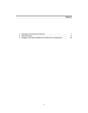### **TABLES**

|                                                                   | - 9 |
|-------------------------------------------------------------------|-----|
| 3. Strategic Information Warfare from Features to Consequences 16 |     |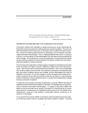We live in an age that is driven by information. Technological breakthroughs . . . are *changing the face of war* and how we prepare for war.

—William Perry, Secretary of Defense

#### **INFORMATION WARFARE AND THE CHANGING FACE OF WAR**

Information warfare (IW) represents a rapidly evolving and, as yet, imprecisely defined field of growing interest for defense planners and policymakers. The source of both the interest and the imprecision in this field is the so-called information revolution—led by the ongoing rapid evolution of cyberspace, microcomputers, and associated information technologies. The U.S. defense establishment, like U.S. society as a whole, is moving rapidly to take advantage of the new opportunities presented by these changes. At the same time, current and potential U.S. adversaries (and allies) are also looking to exploit the evolving global information infrastructure and associated technologies for military purposes.

The end result and implications of these ongoing changes for international and other forms of conflict are highly uncertain, befitting a subject that is this new and dynamic. Will IW be a new but subordinate facet of warfare in which the United States and its allies readily overcome their own potential cyberspace vulnerabilities and gain and sustain whatever tactical and strategic military advantages that might be available in this arena? Or will the changes in conflict wrought by the ongoing information revolution be so rapid and profound that the net result is a new and grave threat to traditional military operations and U.S. society that fundamentally changes the future character of warfare?

In response to this situation and these uncertainties, in January 1995 the Secretary of Defense formed the IW Executive Board to facilitate "the development and achievement of national information warfare goals." In support of this effort, RAND was asked to provide and exercise an analytic framework for identifying key IW issues, exploring their consequences and highlighting starting points for IW-related policy development—looking to help develop a sustainable national consensus on an overall U.S. IW strategy.

To accomplish this purpose, RAND conducted an exercise-based framing and analysis of what we came to call the "strategic information warfare" problem. Involving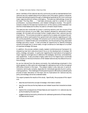#### xii Strategic Information Warfare: A New Face of War

senior members of the national security community as well as representatives from national security-related telecommunications and information systems industries, the exercises led participants through a challenging hypothetical IW crisis involving a major regional political-military contingency. The exercise methodology, known by the label "The Day After . . . ," had been previously used for a variety of nuclear proliferation, counterproliferation, and related intelligence studies. The specific scenario chosen for the exercise involved a turn-of-the-century conflict between Iran and the United States and its allies, focused on a threat to Saudi Arabia.

The exercise was conducted six times in evolving versions over the course of five months from January to June 1995. Each iteration allowed for refinement of basic strategic IW concepts and provided further insights about their national security implications. This process provided an opportunity to assess and analyze the perspectives of senior participants from government and industry regarding such matters as the plausibility of strategic IW scenarios such as the one presented, possible evolutions in related threats and vulnerabilities, and the phrasing of key associated strategy and policy issues. It also provided an opportunity to identify emerging schools of thought and, in some cases, a rough consensus on next steps on a number of important strategic IW issues.

In addition, the process yielded a badly needed multidimensional framework for sharpening near-term executive branch focus on the development of strategic IW policy, strategy, and goals—in particular regarding the implications of prospective major regional contingencies on defensive IW strategies, doctrines, vulnerabilities, and capabilities. It also provided a highly useful forum for beginning to coordinate with industry on the future direction of IW-related national security telecommunications strategy.

As can be inferred from the above comments, the methodology employed in this study appears to offer particular advantages for addressing many of the conceptual difficulties inherent in this topic. The subject matter is very new and, in some dimensions, technically complex, especially for individuals typically found in policymaking positions. The challenge of finding techniques for efficiently accelerating the process of basic education on the topic and its implications for national security policy and strategy cannot be underestimated.

This report presents the results of this study. Specifically, the purpose of this report is to

- describe and frame the concept of strategic information warfare
- describe and discuss the key features and related issues that characterize strategic IW
- explore the consequences of these features and issues for U.S. national security as illuminated by the exercises
- suggest analytical and policy directions for addressing elements of these strategic IW features and issues.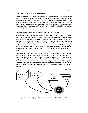#### **STRATEGIC INFORMATION WARFARE**

The United States has substantial information-based resources, including complex management systems and infrastructures involving the control of electric power, money flow, air traffic, oil and gas, and other information-dependent items. U.S. allies and potential coalition partners are similarly increasingly dependent on various information infrastructures. Conceptually, if and when potential adversaries attempt to damage these systems using IW techniques, information warfare inevitably takes on a strategic aspect.

#### **Strategic Information Warfare and Post–Cold War Strategy**

Our exercise scenario highlighted from the start a fundamental aspect of strategic information warfare: There is no "front line." Strategic targets in the United States may be just as vulnerable to attack as in-theater command, control, communications, and intelligence (C3I) targets. As a result, the attention of exercise participants quickly broadened beyond a single traditional regional theater of operations to *four* distinct separate theaters of operation as portrayed in Figure S.1: the battlefield per se; allied "Zones of Interior" (in our scenario, the sovereign territory of Saudi Arabia); the intercontinental zone of communication and deployment; and the U.S. Zone of Interior.

The post–cold war "over there" focus of the regional component of U.S. national military strategy is therefore rendered incomplete for this kind of scenario and is of declining relevance to the likely future international strategic environment. When responding to information warfare attacks of this character, military strategy can no longer afford to focus on conducting and supporting operations only in the region of concern. An in-depth examination of the implications of IW for the U.S. and allied infrastructures that depend on the unimpeded management of information is also required.



**Figure S.1—The Changing Face of War: Four Strategic IW Theaters of Operation**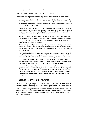xiv Strategic Information Warfare: A New Face of War

#### **The Basic Features of Strategic Information Warfare**

The exercises highlighted seven defining features of strategic information warfare:

- *Low entry cost:* Unlike traditional weapon technologies, development of information-based techniques does not require sizable financial resources or state sponsorship. Information systems expertise and access to important networks may be the only prerequisites.
- *Blurred traditional boundaries:* Traditional distinctions—public versus private interests, warlike versus criminal behavior—and geographic boundaries, such as those between nations as historically defined, are complicated by the growing interaction within the information infrastructure.
- *Expanded role for perception management:* New information-based techniques may substantially increase the power of deception and of image-manipulation activities, dramatically complicating government efforts to build political support for security-related initiatives.
- *A new strategic intelligence challenge:* Poorly understood strategic IW vulnerabilities and targets diminish the effectiveness of classical intelligence collection and analysis methods. A new field of analysis focused on strategic IW may have to be developed.
- *Formidable tactical warning and attack assessment problems:* There is currently no adequate tactical warning system for distinguishing between strategic IW attacks and other kinds of cyberspace activities, including espionage or accidents.
- *Difficulty of building and sustaining coalitions:* Reliance on coalitions is likely to increase the vulnerabilities of the security postures of all the partners to strategic IW attacks, giving opponents a disproportionate strategic advantage.
- *Vulnerability of the U.S. homeland:* Information-based techniques render geographical distance irrelevant; targets in the continental United States are just as vulnerable as in-theater targets. Given the increased reliance of the U.S. economy and society on a high-performance networked information infrastructure, a new set of lucrative strategic targets presents itself to potential IW-armed opponents.

#### **CONSEQUENCES OF THE BASIC FEATURES**

Through the course of our exercise-based analysis, we prompted policymakers and other experts from the public and private sectors to explore the character and consequences of these features. The discussion that follows summarizes our synthesis of observations made by the exercise participants on the characteristics and implications of these features for the strategic IW problem. Note that there is a "cascading" effect inherent in these observations—each helps to create the enabling conditions for subsequent ones.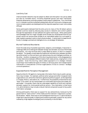#### **Low Entry Cost**

Interconnected networks may be subject to attack and disruption not just by states but also by nonstate actors, including dispersed groups and even individuals. Potential adversaries could also possess a wide range of capabilities. Thus, the threat to U.S. interests could be multiplied substantially and will continue to change as ever more complex systems are developed and the requisite expertise is ever more widely diffused.

Some participants believed that the entry price to many of the IW attack options posited could be raised by denying easy access to networks and control systems through the exploitation of new software encryption techniques. Other participants acknowledged that this might mitigate some threats but emphasized that this approach would not remove other threats to an internetted system by a corrupted insider (systems operator) and/or direct physical attack. It would also increase the difficulty in strategic and tactical intelligence vis-a-vis strategic IW attackers.

#### **Blurred Traditional Boundaries**

Given the wide array of possible opponents, weapons, and strategies, it becomes increasingly difficult to distinguish between foreign and domestic sources of IW threats and actions. You may not know who's under attack by whom, or who's in charge of the attack. This greatly complicates the traditional role distinction between domestic law enforcement, on the one hand, and national security and intelligence entities, on the other. Another consequence of this blurring phenomenon is the disappearance of clear distinctions between different levels of anti-state activity, ranging from crime to warfare. Given this blurring, nation-states opposed to U.S. strategic interests could forgo more traditional types of military or terrorist action and instead exploit individuals or transnational criminal organizations (TCOs) to conduct "strategic criminal operations."

#### **Expanded Role for Perception Management**

Opportunities for IW agents to manipulate information that is key to public perceptions may increase. For example, political action groups and other nongovernment organizations can utilize the Internet to galvanize political support, as the Zapitistas in Chiapas, Mexico, were able to do. Furthermore, the possibility arises that the very "facts" of an event can be manipulated via multimedia techniques and widely disseminated. Conversely, there may be a decreased capability to build and maintain domestic support for controversial political actions. One implication is that future U.S. administrations may include a robust Internet component as part of any public information campaign.

Among participants, there was no support for any extraordinary maneuver by the government to "seize control" of the media and the Internet in response to a probable IW attack. Rather, there was an acknowledgment that future U.S. administrations might face a daunting task in shaping and sustaining domestic support for any action marked by a high degree of ambiguity and uncertainty in the IW realm.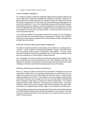#### xvi Strategic Information Warfare: A New Face of War

#### **Lack of Strategic Intelligence**

For a variety of reasons, traditional intelligence-gathering and analysis methods may be of limited use in meeting the strategic IW intelligence challenge. Collection targets are difficult to identify; allocation of intelligence resources is difficult because of the rapidly changing nature of the threat; and vulnerabilities and target sets are not, as yet, well understood. In sum, the United States may have difficulty identifying potential adversaries, their intentions, and their capabilities. One implication of this is that new organizational relationships are needed within the intelligence community and between this community and other entities. A restructuring of roles and missions may also be required.

In our exercises, debate on this problem centered on the need for some interagency structure to allow for coordinated collection and analysis of "foreign" and "domestic" sources versus the desire to preserve the boundary between foreign intelligence and domestic law enforcement.

#### **Difficulty of Tactical Warning and Attack Assessment**

This feature of warfare presents fundamentally new problems in a cyberspace environment. A basic problem is distinguishing between "attacks" and other events, such as accidents, system failures, or hacking by "thrill-seekers." The main consequence of this feature is that the United States may not know when an attack is under way, who is attacking, or how the attack is being conducted.

As in the debate over what to do about the dilemmas posed by the strategic intelligence challenge, exercise participants split on this topic between those who were prepared to consider a more radical mixing of domestic law enforcement and foreign intelligence institutions and those strongly opposed to any commingling.

#### **Difficulty of Building and Sustaining Coalitions**

Many U.S. allies and coalition partners will be vulnerable to IW attacks on their core information infrastructures. For example, the dependence on cellular phones in developing countries could well render telephone communications in those nations highly susceptible to disruption. Other sectors in the early stages of exploiting the information revolution (e.g., energy and financial) may also present vulnerabilities that an adversary might attack to undermine coalition participation. Such attacks might also serve to sever "weak links" in the execution of coalition plans. Conversely, tentative coalition partners who urgently need military assistance may want assurances that a U.S. deployment plan to their region is not vulnerable to IW disruption.

There was general agreement among participants that as the United States develops and refines defensive systems and concepts of operations or techniques in this area, it should consider sharing them with key allies, but no specific policies were proffered in the discussions.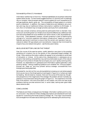#### **Vulnerability of the U.S. Homeland**

Information warfare has no front line. Potential battlefields are anywhere networked systems allow access. Current trends suggest that the U.S. economy will increasingly rely on complex, interconnected network control systems for such necessities as oil and gas pipelines, electric grids, etc. The vulnerability of these systems is currently poorly understood. In addition, the means of deterrence and retaliation are uncertain and may rely on traditional military instruments in addition to IW threats. In sum, the U.S. homeland may no longer provide a sanctuary from outside attack.

There was a broad consensus among exercise participants that no dramatic measures such as shutting down an infrastructure would be effective as a defensive measure (and some skepticism as to whether such action would, in fact, be possible during a crisis). There appeared, however, a broad consensus in favor of exploring the concept of a "minimum essential information infrastructure" based on a series of federally sponsored incentives to ensure that the owners and operators had procedures to detect IW-type attacks and reconstitution measures that minimized the impact of any one network disruption—see the discussion below.

#### **AN ELUSIVE BOTTOM LINE ON THE THREAT**

Over the course of the exercise series, careful attention was given to the possible solidifying of a bottom line on the gravity of the cyberspace-based strategic IW threat. Many existing information systems do appear to be vulnerable to some level of disruption or misuse. At the same time, developments in cyberspace are so dynamic that existing vulnerabilities may well be ameliorated as part of the natural building of immunities to threats that accompany any such rapidly evolving entity. However, our dependence on cyberspace and information systems generally is also growing rapidly—raising unsettling questions as to whether the "immune system" process can "keep up" and thus prevent serious strategic vulnerabilities from emerging and being exploited.

We looked for, but did not find, any strong statistical consensus on just where people think we are now on the threat spectrum portrayed in Figure S.2, or where we might be heading. We did observe, however, that over the course of the exercise, the general perspective on the magnitude of the strategic IW problem almost invariably appeared to move downward along the graph of Figure S.2. This experience mirrored that of the authors—the more time spent on this subject, the more one saw tough problems lacking concrete solutions and, in some cases, lacking even good ideas about where to start.

#### **CONCLUSIONS**

The features and likely consequences of strategic information warfare point to a basic conclusion: Key national military strategy assumptions are obsolescent and inadequate for confronting the threat posed by strategic IW. Five major recommendations emerged from the exercises as starting points for addressing this shortcoming: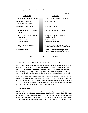xviii Strategic Information Warfare: A New Face of War



**Figure S.2—A Broad Spectrum of Perspectives**

#### **1. Leadership: Who Should Be in Charge in the Government?**

Participants widely agreed that an immediate and badly needed first step is the assignment of a focal point for federal government leadership in support of a coordinated U.S. response to the strategic IW threat. This focal point should be located in the Executive Office of the President, since only at this level can the necessary interagency coordination of the large number of government organizations involved in such matters—and the necessary interactions with the Congress—be effectively carried out. This office should also have the responsibility for close coordination with industry, since the nation's information infrastructure is being developed almost exclusively by the commercial sector. Once established, this high-level leadership should immediately take responsibility for initiating and managing a comprehensive review of national-level strategic information warfare issues.

#### **2. Risk Assessment**

The federal government leadership entity cited above should, as a first step, conduct an immediate risk assessment to determine, to the degree possible, the extent of the vulnerability of key elements of current U.S. national security and national military strategy to strategic information warfare. Strategic target sets, IW effects, and parallel vulnerability and threat assessments should be among the components of this

**RAND** MR661-S.2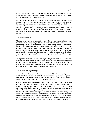review. In an environment of dynamic change in both cyberspace threats and vulnerabilities, there is no sound basis for presidential decisionmaking on strategic IW matters without such a risk assessment.

In this context there is always the hope or the belief—we saw both in the exercises that the kind of aggressive response suggested in this report can be delayed while cyberspace gets a chance to evolve robust defenses on its own. This is, in fact, a possibility—that the healing and annealing of an immune system that is under constant assault, as cyberspace is and assuredly will continue to be (if only, in Willy Sutton's words, because that's where the money is), will create the robust national information infrastructure that everyone hopes to use. But it may not, and we are certainly not there now.

#### **3. Government's Role**

The appropriate role for government in responding to the strategic IW threat needs to be addressed, recognizing that this role—certain to be part leadership and part partnership with the domestic sector—will unquestionably evolve. In addition to being the performer of certain basic preparedness functions—such as organizing, equipping, training, and sustaining military forces—the government may play a more productive and efficient role as facilitator and maintainer of some information systems and infrastructure, and through policy mechanisms such as tax breaks to encourage reducing vulnerability and improving recovery and reconstitution capability.

An important factor is the traditional change in the government's role as one moves from national defense through public safety toward things that represent the public good. Clearly, the government's perceived role in this area will have to be balanced against public perceptions of the loss of civil liberties and the commercial sector's concern about unwarranted limits on its practices and markets.

#### **4. National Security Strategy**

Once an initial risk assessment has been completed, U.S. national security strategy needs to address preparedness for the threat as identified. As portrayed in Figure S.3, preparedness will cross several traditional boundaries from "military" to "civilian," from "foreign" to "domestic," and from "national" to "local."

One promising means for instituting this kind of preparedness could involve the concept of a "minimum essential information infrastructure" (MEII), which was introduced as a possible strategic defensive IW initiative in the exercise and is portrayed notionally in Figure S.3. The MEII is conceived as that minimum mixture of U.S. information systems, procedures, laws, and tax incentives necessary to ensure the nation's continued functioning even in the face of a sophisticated strategic IW attack. One facet of such an MEII might be a set of rules and regulations sponsored by the federal government to encourage the owners and operators of the various national infrastructures to take measures to reduce their infrastructure's vulnerability and/or to ensure rapid reconstitution in the face of IW-type attacks. The analog for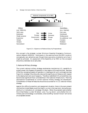



**Figure S.3—A Spectrum of National Security Preparedness**

this concept is the strategic nuclear Minimum Essential Emergency Communications Network (MEECN). Participants in the exercise found the MEII construct conceptually very attractive even though there was some uncertainty as to how it might be achieved. An assessment of the feasibility of an MEII (or like concepts) should be undertaken at an early date.

#### **5. National Military Strategy**

The current national military strategy emphasizes maintaining U.S. capability to project power into theaters of operation in key regions of Europe and Asia. Because of the four emerging theaters of operation in cyberspace for such contingencies (see Figure S.1), strategic IW profoundly reduces the significance of distance with respect to the deployment and use of weapons. Therefore, battlefield C3I vulnerabilities may become less significant than vulnerabilities in the national infrastructure. Planning assumptions fundamental to current national military strategy are obsolescent. Consideration of these IW features should be accounted for in U.S. national military strategy.

Against this difficult projection and assessment situation, there is the ever-present risk that the United States could find itself in a crisis in the near term, facing the possibility of, or indications of, a strategic IW attack. When the president asks whether the United States is under IW attack—and, if so, by whom—and whether the U.S. military plan and strategy is vulnerable, a foot-shuffling "we don't know" will not be an acceptable answer.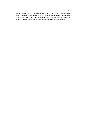Finally, however, it must be acknowledged that strategic IW is a very new concept that is presenting a wholly new set of problems. These problems may well yield to solution—but not without the intelligent and informed expenditure of energy, leadership, money, and other scarce resources that this study seeks to catalyze.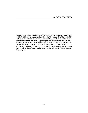We are grateful for the contributions of many people in government, industry, and within RAND to the conception and carrying out of this project. The following RAND staff deserve mention because of their extensive time investments and the shared insights that were so important in supporting the project's development: Richard O. Hundley, Robert H. Anderson, David Adamson, John Arquilla, Steven C. Bankes, Samuel Gardiner, Eugene C. Gritton, Anthony Hearn, Richard Mesic, Kevin O'Connell, and David F. Ronfeldt. We would also like to express special thanks to Kenneth E. deGraffenreid and Michelle K. Van Cleave of National Security Research, Inc.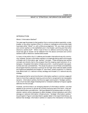Chapter One

#### **WHAT IS "STRATEGIC INFORMATION WARFARE?"**

#### **INTRODUCTION**

What is "Information Warfare?"

Ten years ago the answer to that question from a communications specialist, a codebreaker, or any other member of the U.S. military or intelligence communities might have been either "What?" or, with a little encouragement, "Oh, you mean command and control warfare on the battlefield and in the theater, jamming and that other electronic warfare stuff." Within most of the U.S. defense community today, you would still get an answer not far different from the above command and control warfare (C2W) or electronic warfare (EW) answer.

In many circles within the U.S. defense and broader international security community, however, the term information warfare is increasingly being used to encompass a broader set of information-age "warfare" concepts. These emerging new warfare concepts are directly tied to the prospect that the ongoing rapid evolution of cyberspace—the global information infrastructure (GII)—could bring both new opportunities and new vulnerabilities. This study focuses on one of these vulnerabilities: the prospect that this revolution could put at risk high-value national assets outside the traditional battlefield and theater of "over there" power projection in a fashion that affects both U.S. national military strategy and broader U.S. national security strategy.

We recognize that for some time the term information warfare in common usage will have no more than a general meaning, and one that is recognized to be inescapably dynamic. Information warfare, like the once-again evolving term "strategic warfare," is at a much too early stage of development or renewal to attempt to forge an agreed definition for the concept.

However, we think there is an emerging element of information warfare—one that appears to be common to almost all currently evolving uses of this term—that warrants identification and definition. We have labeled this emerging realm of conflict wherein nations utilize cyberspace to affect strategic military operations and inflict damage on national information infrastructures—"strategic information warfare." As portrayed in Figure 1 and described in greater detail in the report that follows, we believe that strategic information warfare (in essence the intersection of evolving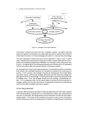2 Strategic Information Warfare: A New Face of War



**Figure 1—Strategic Information Warfare**

information warfare and post–cold war "strategic warfare" concepts) warrants special recognition and attention as a legitimate new facet of warfare with profound implications for both U.S. military strategy and overall U.S. national security strategy.

The new cyberspace infrastructure and culture depicted in Figure 1 has, in recent years, evolved almost exclusively outside the military context (although the contribution of the Defense Department's ARPANET to the origins of the Internet are well known). As argued above, the emerging elements and characteristics of cyberspace by their very nature offer new opportunities for information warfare.

On a parallel track, there is the ongoing evolution in international politics, and within that context, the inevitable evolution of Clausewitz's warfare as an instrument of politics. In this context, new strategic interests are emerging for the United States and other nations, yielding new strategic dilemmas and new (and old) strategic targets against which to use leverage—including the threat of use of new (and old) kinds of strategic force. Thus, new strategic threats and new strategic vulnerabilities surface. It is increasingly clear, as this report seeks to portray, that the evolution in strategic warfare will include a dimension of cyberspace threats and vulnerabilities worthy of the label "strategic information warfare."

#### **STUDY BACKGROUND**

In January 1995, the Deputy Secretary of Defense established an Information Warfare (IW) Executive Board, supported by a comprehensive charter and organizational structure, to facilitate "the development and achievement of national information warfare goals." The intent of this initiative is to build on the current information warfare momentum within the Department of Defense, integrating and marshaling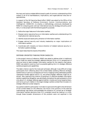the many and various related efforts toward a path of common understanding of this subject in all of its manifestations, implications, and organizational roles and responsibilities.

In support of the IW Executive Board effort, RAND was asked by the Office of the Assistant Secretary of Defense (Command, Control, Communications, and Intelligence)—OASD(C3I)—to employ a methodology, previously developed by RAND for analyzing post–cold war international security strategy and policy problems, in a new project with the following specific purposes:

- 1. Define the major features of information warfare.
- 2. Sharpen senior executive focus on information warfare and understanding of its implications for national security.
- 3. Identify issues and assist policy direction of information warfare.
- 4. Engage national security and industry leadership on major implications of information warfare.
- 5. Coordinate with industry on future direction of related national security information systems strategy.

This report describes the results of that effort.

#### **DEFENSE-ORIENTED TASKING FROM OASD(C3I)**

In the project's terms of reference, RAND was asked to address what in traditional terms might be called the strategic *defensive* element (from a U.S. perspective) of what we came to label strategic information warfare for the reasons cited above. RAND was asked to avoid as much as possible getting into U.S. strategic *offensive* warfare prospects and capabilities.

The latter criterion was for the most part achieved, although it was difficult to keep participants from reflecting about the United States wielding offensive strategic warfare tools (in part as a consequence of mirror imaging) as they addressed possible cyberspace threats against which U.S. and allied strategic defenses might be required. Also, hewing to the criterion of avoiding U.S. offensive strategic information warfare capabilities altogether was admittedly somewhat like asking people to think only about U.S. strategic defenses against ballistic missiles and long-range bombers, and not to put such matters in the larger strategic warfare context that includes U.S. strategic offensive nuclear weapons.

As a partial outlet for participants' inclination to give some thought to the dimension of the United States on the offensive, the future crisis portions of the exercise methodology (see below) acknowledged the existence of a broad set of strategic information warfare decisions that a U.S. president would be making in a crisis, though these broader dimensions of the problem were not explored in the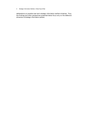4 Strategic Information Warfare: A New Face of War

deliberations on possible near-term strategic information warfare initiatives. Thus, the findings and other perspectives presented below focus only on the defensive dimension of strategic information warfare.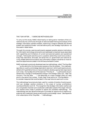Chapter Two

#### **METHODOLOGY**

#### **THE "DAY AFTER . . ." EXERCISE METHODOLOGY**

To carry out this study, RAND relied heavily on taking senior members of the U.S. national security community through an exercise-based framing and analysis of the strategic information warfare problem, examining a range of selected and diverse present and potential threats—and derivative policy and strategy implications—as discussed in detail below.

Through this process, exercise participants assessed possible adverse implications for information technology and practice and addressed unresolved issues associated with capabilities and limitations of current and planned systems and operational concepts. Participants were thus put in a position where they could more constructively help rationalize, stimulate, and direct the U.S. government and national-security-related telecommunications and information systems industries to move toward the objectives articulated in the IW Executive Board Charter.

RAND employed a previously developed exercise methodology, called "The Day After . . . ," as the vehicle for this framing and analysis of the IW problem. This methodology relies on a policy and strategy exploration exercise in which participants are presented with hypothetical future crises and asked to develop appropriate responses to such crises. During Step One of the exercise ("The Day of . . . "), participants are presented with a change or foreshadowed change in the strategic status quo. Step Two concerns "The Day After . . . "—the aftermath of a major strategic event at a later point in the same crisis context. Finally, Step Three returns to "The Day Before . . . " to consider measures that could be taken in the near future to avert such a crisis.

The methodology has previously been used for a variety of studies of evolving post– cold war strategic warfare problems in the areas of nuclear proliferation/ counterproliferation and C3I. The recognition that strategic information warfare was of a comparable character and constituted a definable subset of the larger information warfare arena made it possible to exploit this available methodology. The methodology was also attractive because it provided an opportunity to explore operational and investment issues as well as policy and strategic issues. (See Appendix A for a description of the "Day After . . ." methodology.)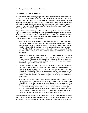6 Strategic Information Warfare: A New Face of War

#### **THE EXERCISE DESIGN PROCESS**

It became clear in the very early stages of the study effort that there was a wholly new analytic realm emerging in the intersection of evolving strategic warfare and information warfare concepts. As a consequence, much early effort was devoted to (1) the development of a multidimensional analytical framework upon which, or along the dimensions of which, this newly emerging "strategic information warfare" problem could be presented and (2) a typology of strategic information scenarios for use in the "Day After . . ." methodology.

Major challenges in the design application of the "Day After . . ." exercise methodology include the choice and design of a first-generation strategic information warfare scenario, since no one scenario could illuminate all aspects of this problem. After considerable discussion, four hypothetical scenarios were examined for their plausibility and relevance to defense planning:

- **Persian Gulf Major Regional Contingency (MRC)-Type Crisis:** Iran seeks hegemony over the Persian Gulf region (circa 2000) by the overthrow of the Saudi Kingdom through the vehicle of an antiregime organization within Saudi Arabia. A major military crisis develops in the region with a decision by the U.S. government (USG) to deploy forces as part of a deterrent maneuver. Iran and its Saudi domestic "ally" conduct information warfare attacks on the Saudi government and the USG.
- **Strategic Challenge by China in the Far East:** China makes a very aggressive move toward regional dominance. The Taiwanese government declares "independence" (circa 2005). China conducts a robust combined-arms military operation, including the use of strategic information warfare techniques to deter a forceful U.S. political-military response.
- **Instability in Moscow:** A Russian Federation is ruled by a weak central government and largely in the thrall of several transcontinental crime organizations (TCOs). A major fissile material diversion is attempted by a Russian TCO to Iran (circa 1999). The Russian TCO makes extensive use of offensive and defensive IW techniques to further its objectives in the face of opposition from the United States, several major states within the European Union (EU), and the Russian government.
- **A Second Mexican Revolution:** There is an extrapolation of the current disturbances caused by the Chiapas rebellion in southern Mexico. A crisis occurs (circa 1998) in which the Mexican government faces major challenges from the Chiapas region as well as from antiregime movements in northern Mexico. The Mexican revolutionary movements and nongovernmental organization (NGO) allies in North America make extensive use of perception management techniques designed to dissuade the USG from taking any forceful political, economic, or military action to shore up the beleaguered Mexican regime.

We see the above set of scenarios as a good first cut at an exemplary set of strategic information warfare scenarios. We debated which scenario would be most effective at this point in the emergence of this new problem area, both as a teaching tool and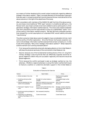as a means of further developing this overall subject analytically regarding *defensive* strategic information warfare. Table 1 provides elements of the evaluation approach that was used in comparing what fairly quickly became the two most attractive of the above scenarios in the light of the objectives of the study.

After consultation with members of the OASD(C3I) staff, the first of the above scenarios, we chose a more traditional "MRC-type" scenario in a traditional setting (i.e., the Persian Gulf), was chosen as likely to be most credible to senior participants in a firstgeneration strategic information warfare exercise. The choice was a balance between near-term plausibility and the requirement to play out a deliberately "exotic" turnof-the-century information warfare scenario. We also felt that a plausible scenario that stressed the current assumptions of a standard MRC would usefully stimulate "new thinking."

The other scenarios listed above were all judged to have considerable intrinsic merit and be worthy of further exploration. Since the Persian Gulf power projection scenario is the strategic information warfare example that we lean so heavily on, it is fair to ask of this example, "Why is this 'strategic information warfare'?" What makes this scenario warrant such a strong characterization?

- First, because the potentially physically damaging attacks on the United States itself place the physical sanctuary of the continental United States at risk.
- Second, because one of the fundamental building blocks of the U.S. long-term military strategy is securing forces that can effectively suppress would-be regional hegemons before they are successful regionally and become would-be global hegemons.
- Third, because the conflict portrayed is seen as strategic warfare by Iran, the adversary. Whether a regional adversary is using information warfare techniques to fracture a coalition or undermine domestic support in the United States or

| <b>Factors</b>                                                           | Saudi Arabia                                                                        | China                                                                          |
|--------------------------------------------------------------------------|-------------------------------------------------------------------------------------|--------------------------------------------------------------------------------|
| 1. What's at stake in the crisis                                         | Oil                                                                                 | Rapidly evolving global<br>competitor                                          |
| 2. Avoiding a strong nuclear<br>shadow                                   | Strength of nuclear shadow a<br>variable                                            | Inescapable large nuclear<br>shadow                                            |
| 3. Exercise development risk<br>(within time available)                  | Start from tested structure and con-<br>text (from counterproliferation<br>studies) | New context and untested<br>structure                                          |
| 4. Participant "adaption" to sce-<br>nario                               | Persian Gulf conflict familiar: time<br>frame more immediate                        | Strategic context unfamiliar;<br>time frame longer; better for<br>2nd exercise |
| 5. Avoiding provoking strategic of-<br>fensive IW                        | Not necessarily tempting                                                            | More tempting                                                                  |
| 6. Preparation for addressing<br>pressing "Next Steps in IW" is-<br>sues | Covers more issues                                                                  | Covers fewer issues                                                            |

#### **Table 1**

**Evaluation of Scenarios for Exercise**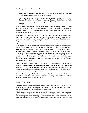8 Strategic Information Warfare: A New Face of War

Europe for intervention, it will be playing a strategic game that will force the United States into a strategic engagement as well.

• Fourth, when considering the strategic vulnerabilities and attacks that the United States and its allies might suffer, there is always the possibility that other strategic weapons—nuclear weapons, for example—might be either brandished or used outright.

Having chosen a scenario, we then faced the task of introducing a growing list of specific strategic information warfare threat elements (specific hacker threats, prospective infrastructure vulnerabilities, etc.) in a credible fashion into a fast-paced regional contingency crisis in the Gulf.

From this point on, the design of the exercise is in large measure a gradual introduction into the scenario of more and stronger elements of strategic information warfare, while turning down a comparable "rheostat" on the amount of traditional military conflict or brandishing of forces taking place.

The above phenomenon was in part a reflection of our growth in confidence in an evolving set of cyberspace-rooted vulnerabilities that, through this vetting process, fell in the category of potential problems that need to be brought forward for closer examination. At the same time, we admit to purposely bringing together in one concentrated period the candidate cyberspace threats that we came across on their "high end." In a more traditional sense, it might be called a look at the impact of the "greater-than-expected threat," although in this realm there is as yet no base of experience in which to root such concepts. (See Appendix B for a summary of the group responses to the June 3, 1995, exercise and Appendix C for the June 3 version of the exercise materials.)

We believe that the results that have emerged from this process—the schools of thought on substance and agenda described below that emerged from the exercise experience—constitute an important and unparalleled foundation on which to build the language and the analytical base to support presidential and other national-level decisionmaking that many agree are so badly needed.

In the latter context, we believe it is valid to say that the cyberspace threats that survived to the end of the exercise series constitute a good place to start in any risk assessment of threats to U.S. national security.

#### **EXERCISE HISTORY**

The exercise was developed and employed over a six-month period. After an initial research and design period, the project employed a series of different sets of participants (see Table 2) in a continually evolving exercise.

The first test series began with a small group of RAND researchers in Washington and progressed to include four-star military officers and assistant secretary–level officials representing departments and agencies from across the executive branch. Senior industry executives from large information-systems companies were included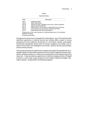#### **Table 2**

| <b>Exercise History</b> |  |
|-------------------------|--|
|-------------------------|--|

| Dates             | Participants                                                             |  |
|-------------------|--------------------------------------------------------------------------|--|
| Feb 9             | <b>RAND Washington</b>                                                   |  |
| Feb <sub>23</sub> | <b>RAND Santa Monica</b>                                                 |  |
| Mar 16            | Experts from DoD, intelligence community, industry, academia             |  |
| Apr 10            | Experts, retired Flag officers                                           |  |
| Apr 22            | DoD/industry: Two-star officers, DUSD/DASD, <sup>a</sup> senior VP level |  |
| May 13            | DoD/industry: Four-star officers, USD/ASD, CEO <sup>b</sup> level        |  |
| June 3            | Expanded executive branch participation                                  |  |

aDepartment of the Under Secretary of Defense/Department of the Assistant Secretary of Defense.

bChief Executive Officer.

throughout the series once it emerged from early testing. Over 170 individuals with significant experience in national security and military affairs, expert in various emerging and more-traditional dimensions of information warfare, participated. Participants represented various levels of industry, academia, the analytic and research communities, the intelligence community, national security policymakers, and the military services.

This process produced an opportunity to assess and analyze the perspectives of interested experts at high levels of government and industry regarding scenario plausibility, possible evolutions in threats and vulnerabilities, the phrasing of key policy issues, etc. It also provided an opportunity to identify emerging schools of thought and even, in some cases, rough consensus on key matters relating to strategic information warfare—as described in the following chapters.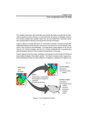Chapter Three

#### **THE CHANGING FACE OF WAR**

This chapter steps back and pictorially and analytically takes a broad look at information warfare, quickly closing in on the particular dimension of strategic information warfare, explaining in greater depth why we concluded that it was both necessary and desirable to identify and analyze this new face of warfare.

Figure 2 depicts a broad definition of information warfare, including those wellestablished aspects of IW that fall in the area of command and control warfare, especially in the context of the battlefield. As noted above, these aspects of IW are not new to U.S. military strategy, and the U.S. military establishment is exceptionally good at developing doctrine and conducting operations in this area.

Figure 2 also portrays the newer, emerging, and equally ominous facet of IW that we have labeled strategic information warfare. This facet includes a wider range of potential adversaries with the same selection of weapons, ranging from digits to dy-



**Figure 2—The Changing Face of War**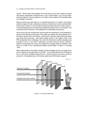namite. When these new strategic IW-armed actors point their weapons toward information-dependent infrastructures in the United States, such as the public switched network, financial systems, or air traffic control systems, IW inevitably takes on a strategic dimension.

Shown another way (see Figure 3), a complete description of modern information warfare ranges from well-understood, tactical command-and-control warfare (either as precursor conflict or in the context of a large conventional war) to what is newer a more penetrating kind of conflict that reaches the center of the U.S. homeland. The implication here is ominous: IW threatens the United States as sanctuary.

As the various groups worked their way through the hypothetical crisis presented, it became clear that each participant could deal more easily with some aspects of information warfare than with others—participants naturally responded most easily with what they knew best. Information-based conflict in the region (C2W in the MRC) presented minor challenges. But, when the information warfare campaign was brought to the U.S. and allies' heartlands, the MRC became almost irrelevant. Attention was spread from one or two traditional campaign areas (or theaters) "over there" to a total of *four* operational theaters as portrayed in Figure 4, including "here."

When responding to information warfare, military strategy can thus no longer focus just on support to and operations in the MRC. It must also examine IW implications on U.S. and allies' strategic infrastructures—military, physical, economic, political, and social—that depend upon information systems and information support.



**Figure 3—The Loss of Sanctuary**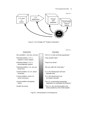The Changing Face of War 13

**RAND** MR661-5



**Figure 4—Four Strategic IW "Theaters of Operation"**



**Figure 5—A Broad Spectrum of Perspectives**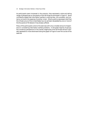#### 14 Strategic Information Warfare: A New Face of War

As participants were immersed in the scenario, they expressed a wide and telling range of perspectives on the gravity of the IW threat as portrayed in Figure 5. Some confidently stated that information warfare is nothing new, not a problem, and certainly not worth the expense of another nickel. Others publicly expressed relief that the infrastructure of the United States has not yet been devastated by one or more of the thousands of IW attacks it has already suffered.

Many of the participants came to the exercises with only a modest amount of experience in considering information warfare problems. In the great majority of groups, the consensus perspective on the overall magnitude of the IW threat almost invariably appeared to move downward along the graph of Figure 5 over the course of the exercise.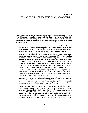Chapter Four

# **DEFINING FEATURES OF STRATEGIC INFORMATION WARFARE**

The exercises highlighted seven defining features of strategic information warfare that distinguish it from other forms of conflict and pose new challenges for the U.S. government, American society, and U.S. allies. These features, which constitute highly effective avenues along which to explore the strategic IW problem, warrant special attention:

- **Low entry cost.** *The price to develop a high-performance IW capability is low and is available to a wide range of participants.* Unlike previous high-performance weapons technologies, new potential information warfare weapons can be developed by skilled individuals or groups residing anywhere within the GII.
- **Blurred traditional boundaries.** *Traditional boundaries between nations and segments of society and government—and even conceptual definitions such as that of the nation-state—are blurred*. Distinctions between public and private interests are compromised by growing interaction within the information infrastructure. The explosive global growth and exploitation of the Internet show a wide-open, unregulated frontier characteristic of this infrastructure. Within this new frontier, which is characterized by pluralism and growing numbers of factions, there is wide opportunity for criminal and/or warfare-type activity.
- **Perception Management.** *Perception management may play an expanded role*. Although the organized and systematic use of deception techniques has powerful historical antecedents, new information-based techniques may provide perception manipulators a powerful set of new tools.
- *•* **Strategic intelligence.** *Strategic intelligence presents a fundamental new challenge.* Newly identified IW threats and vulnerabilities will necessitate a thorough review of classical intelligence collection and analysis methods. A new type of strategic intelligence analytic field may need to be developed.
- *•* **Tactical warning and attack assessment.** *Tactical warning and attack assessment (TW/AA) constitute another new challenge.* Given the diversity and subtlety of various defense and attack techniques within the information infrastructure, a new type of TW/AA will have to be devised to detect and differentiate between mistake, accident, deployment of software agents designed for espionage, and the predeployment of software weapons. TW/AA will require monitoring all elements of the GII, national information infrastructure (NII), and defense infor-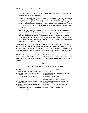16 Strategic Information Warfare: A New Face of War

mation infrastructure (DII) to detect surveillance, penetration, disruption, and weapon predeployment activities.

- *•* **Building and sustaining coalitions.** *Increased reliance on coalition allies brings increased vulnerabilities.* Future major regional contingencies will involve militarily and geographically important coalition partners. These allies may have special vulnerabilities to emerging IW attack techniques—and concerns about U.S. vulnerabilities—that an adversary might exploit to undermine coalition participation.
- *•* **Vulnerability of the U.S. homeland.** *The U.S. homeland may be vulnerable to a new strategic threat.* Given the increased reliance of the U.S. economy and society on high-performance computer networks, U.S. infrastructures represent a new set of "strategic" targets. Threats against key NII targets may have an extremely coercive value, while outright attacks may have a powerful disruptive effect on the national decisionmaking authority. U.S. borders will not provide sanctuary from this kind of conflict.

As we presented and further developed each of these essential features in the context of the evolving exercise, we came to appreciate in far greater depth their individual consequences. The outcome of this process, summarized in Table 3, convinced us that we had been able to capture in a comprehensible fashion those aspects of strategic information warfare that distinguish it from other new forms of conflict.

The following material describes in detail each of these features as well as how they were incorporated into the exercise. Further, the material provides a summary of preliminary findings or insights about various exercise teams' reactions to these features.

| Features                                                                | Consequences                                                                                       |
|-------------------------------------------------------------------------|----------------------------------------------------------------------------------------------------|
| 1. Low entry cost dramatically multiplies threat.                       | Anybody can attack.                                                                                |
| 2. Blurred traditional boundaries create new<br>problems.               | You may not know who is under attack, by whom<br>or who's in charge.                               |
| 3. Perception management has expanded role.                             | You may not know what is real.                                                                     |
| 4. Strategic intelligence is not yet available.                         | You may not know who your adversaries will be or<br>what their intentions or capabilities will be. |
| 5. Tactical warning and attack assessment are ex-<br>tremely difficult. | You may not know you are under attack, who is<br>attacking or how.                                 |
| 6. Building and sustaining coalitions is more<br>complicated.           | You may depend on others who are vulnerable.                                                       |
| 7. Vulnerability of the U.S. homeland may give<br>adversaries leverage. | You lose the United States as sanctuary.                                                           |

#### **Table 3**

#### **Strategic Information Warfare from Features to Consequences**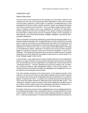#### **LOW ENTRY COST**

#### **Feature Description**

The occurrence most fundamental to the emergence of information warfare is the confluence of low-cost microcomputing and the exploitation of ever more complex communication networks in order to gain, for example, increased efficiency in the management of the flow of data, material, and other "goods" and related information from various producers and consumers. This circumstance leads directly to significantly increased numbers, kinds, and capabilities of potential IW adversaries. Another aspect of the low-entry-cost feature is the rapidly increasing complexity of the information infrastructures and the consequent impact of this complexity on other features, such as blurred boundaries, strategic intelligence, and tactical warning/attack assessment.

There is a powerful commercial imperative to ensure that the emerging system of cyberspace networks operates with increased efficiency so that inventories of any data and/or material commodity can be exploited with less need for the maintenance of large inventories that compensate for uncertainties about supply and demand. This substitution of "efficiency for mass" in many cases unfortunately leads to new types of vulnerabilities to attack—especially in the early (and during any other) dynamic stages of a network's evolution (more the rule than the exception in much of cyberspace). This rapidly evolving phenomenon provides a malevolent and competent cyberspace actor with potential near-speed-of-light access to a wide range of national "strategic targets" within the GII.

In this situation, many advanced and interconnected networks can be subjected to attack by a range of entities including skilled individuals; actors that are not states, such as transnational criminal organizations; and states with a well-trained cadre of "cyberspace warriors." The key ingredients are access and mastery over, for example, a particular data file, data management system, or flow control system—in a context where key information infrastructure databases and management and control systems are increasingly interconnected.

The most dramatic example of this phenomenon is the explosive growth of the Internet, in which tens of millions of users exploit a global communications network with access to tens of thousands of databases that are provided little or no protection against "unauthorized" entry. In essence, the Internet has some of the features of much of the land rapidly opened for cattle grazing during the late 19th century. This "Wild West" metaphor is apt since there is now a public debate as to whether users of the Internet should readily acquire the cyberspace equivalent of barbed wire database access protection through encryption or other techniques.

Encryption at the entry points to various databases and to act as message authenticators of appropriate system users is a plausible means to increasing the entry price for certain classes of "amateur" and low-technology cyberspace attackers ("rogue hackers"). In fact some participants in the exercise strongly believed that the solution to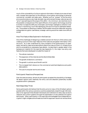much of the vulnerability of a future national information infrastructure was at hand with a laissez-faire approach to the diffusion of encryption technology to personal, commercial, nonstate, and state users. Whether such an "answer" to the low entry price would produce a very high domestic law enforcement/foreign national security "price" was well beyond the scope of this effort. At a minimum, we note that one of the possible consequences of the rapid diffusion of encryption technology would be to further increase the difficulty of domestic and foreign intelligence collection institutions in monitoring, much less identifying, the source of future cyberspace attackers. The problem of devising a credible TW/AA system would be made even worse by widespread encryption (see below); strategic warning would be made more difficult as well.

#### **How This Feature Was Explored in the Exercise**

One of the challenges of designing a credible scenario for the turn of the century was creating a picture of the major features of the national and global information infrastructure. As is well understood by many students of the phenomenon of cyberspace, we had to make some assumptions about the nature of the U.S. infrastructure and its vulnerability to cyberspace-type attacks. As described in greater detail in the background material for the exercise (see Appendix C), the major low-entry-cost features that were developed included the impact of

- The cellular revolution
- The expansion of the Internet and the World Wide Web
- The growth of electronic commerce
- The growth in activist use of the NII and GII
- The increased DoD reliance on the commercial switched telephone and public data systems
- The use of computer worms and viruses.

#### **Participants' Reactions/Perspectives**

Over the exercise series, almost all participants accepted the plausibility of strategic IW attack options with relatively low entry cost and attackers potentially located anywhere within cyberspace.

#### **Next Steps/Step Three**

Some participants did believe that the entry price to many of the IW attack options posited within the various scenarios could be substantially raised through USG toleration of an approach that allowed individuals and institutions to deny easy access to networks and control systems through the exploitation of new software encryption techniques. Other participants in the exercises acknowledged that widespread encryption might mitigate some threats but that this approach would not remove direct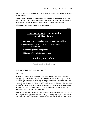physical attack or other threats to an internetted system by a corrupted insider (systems operator).

Aside from acknowledging the plausibility of low-entry-cost threats, most participants believed that this new dimension of warfare would require a new type of risk assessment. Practical approaches to this assessment are discussed below.

Figure 6 summarizes the key elements of this feature.



**Figure 6—Low-Entry-Cost Summary**

#### **BLURRED TRADITIONAL BOUNDARIES**

#### **Feature Description**

One of the most significant features of the development of a global informational infrastructure (and subordinate national infrastructures) is the blurring of clear geographical, bureaucratic, jurisdictional, and even conceptual boundaries associated with traditional national security issues. For example, boundaries defining a sovereign state will become increasingly blurred. Not unlike the nation-states' loss of control over the current global financial and monetary markets, the increased interconnection of the U.S. national information infrastructure with global cyberspace inescapably diminishes national sovereignty.

Among the most striking aspects of this blurred-boundaries phenomenon is the disappearance of the ability to make any kind of clear distinction between foreign and domestic sources of IW threats to the safety of the republic. This blurring of bound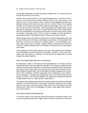aries greatly exacerbates institutional tensions between the U.S. national security and law enforcement communities.

Another blurring phenomenon is the virtual disappearance in numerous circumstances of clear distinctions between different levels of anti-state activity in the spectrum from crime to military conflict. Without a clear geographical distinction between foreign and domestic sources of anti-U.S. activity, there is the increased prospect that activities associated with traditional espionage, crime, and "acts of war" will be very difficult to identify. With the prospect that infrastructures can be attacked via cyberspace, there is an increased likelihood that nation-states weaker than the United States in the traditional instruments of military and economic power will employ individuals and/or TCOs to conduct "strategic criminal operations" whose actual origins ("Who gave the order?") will prove very hard to identify.

Other examples of blurred traditional distinctions include those between public and private, military and commercial, and strategic and tactical. A final example is the blurring in numerous circumstance of "weapons effects"—the considerable uncertainty about actual versus intended "weapons effects," especially the problems of unknown collateral damage within and between infrastructures from any specific action taken.

The consequence of blurred boundaries is the very real possibility that if attacked, the United States may not sense what is under attack. Similarly, it will not be immediately clear what agency or segment of society should be responsible for taking charge of any attack response.

#### **How This Feature Was Explored in the Exercise**

As developed in detail in the exercise itself (see Appendix C) the major blurredboundaries features that were explored included (1) an ambiguous relationship between the Saudi domestic opposition (a hypothetical nongovernmental organization promoting "Islamic democracy") and Iran and (2) the blurring of domestic and foreign interest boundaries within the United States (through the appearance of a powerful conflict mediation–oriented organization that orchestrates an anti-interventionist campaign). The latter was modeled after some of the NGO activity that has already occurred on the Internet between the organization leading the Mexican Chiapas rebellion and U.S. "peace activist" organizations.

The scenario also heightened the sense of uncertainty about the distinction between domestic crime (terrorist) acts and "acts of war" through incidents such as (1) major failures of the public switched network (PSN) within the United States and Saudi Arabia and (2) major acts of IW sabotage of uncertain origin against key infrastructure control systems.

#### **Participants' Reactions/Perspectives**

In the early versions of the exercise (see earlier discussion of exercise history), the scenario presented posited much higher levels of military violence and a more overt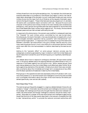military threat from Iran during the escalating crisis. For example, the initial exercise scenarios described a circumstance in the Persian Gulf region in which Iran had already taken advantage of the domestic turmoil inside Saudi Arabia and was moving military forces into the major Gulf city of Dhahran at the request of domestic opponents to the Saudi kingdom. These initial test exercises also played out U.S. domestic IW events with a somewhat clearer connection with Iran. Because the source and character of the political and military threat to the vital interests were rendered less ambiguous, many groups during these exercises were prepared to recommend that the United States take major military action against Iran. Put simply, the boundaries between peace and war had not been sufficiently blurred.

In response to this phenomenon, the scenario was modified in subsequent exercises. The "rheostat" for overt military action committed by Iran was turned down. Simultaneously, the level of domestic crisis was dramatically increased with a much more energetic domestic opposition led by a powerful "anti-interventionist" nongovernmental organization. In response to this increased blurring of the distinction between a domestic law enforcement crisis and a foreign national security crisis, many exercise groups found it much more difficult to recommend decisive military action even after the crisis had escalated in a fashion described by the exercise scenario.

Adding to the "paralytic effect" on some groups' decision process was the widespread uncertainty generated by major incidents in both the United States and Saudi Arabia that involved the use of IW techniques by an imperfectly identified perpetrator.

This debate about how to respond to ambiguous domestic IW-type events spilled over in the group debates about the appropriateness and effectiveness of any U.S. response in kind taken against Iran during this crisis. Within several groups, there was intense debate as to how the United States could effectively deter further IW attacks against key elements of the domestic infrastructure when there was considerable uncertainty about the immediate and longer-term consequences of any offensive IW attack operations threatened or taken by the United States.

Most groups in the operational exercises expressed profound frustration with a scenario that posited a U.S. law enforcement and intelligence community that provided such incomplete information about the origin of the more heinous IW events presented (specifically, train and aircraft crashes).

#### **Next Steps/Step Three**

The exercise groups frequently engaged in a vigorous debate between those who advocated a "merger" of domestic law enforcement and intelligence functions to meet the strategic IW challenge and those who thought that the distinction between domestic law enforcement and foreign intelligence collection should be clearly maintained. Advocates of a merger of the law enforcement and intelligence agencies believed that the kind of IW-type events described in the scenario compelled the USG to take "extraordinary action" to provide the national command authorities with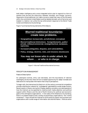both better intelligence and a more integrated action plan to respond to a form of warfare that blurred the distinction between domestic and foreign concerns. Opponents citing traditional civil rights concerns noted that many of the IW events within the continental United States could be labeled domestic acts of terrorism and treated in a fashion not unlike the law enforcement response to the World Trade Center and Oklahoma City bombings.

**RAND** MR661-7

Figure 7 summarizes the key elements of this feature.

# • **Geographical, bureaucratic, jurisdictional, conceptual.** • **Blurred traditional distinctions: foreign/domestic, public/ private, military/commercial, strategic/tactical, war/peace, war/crime.** • **Increased ambiguities, disputes, and vulnerabilities.** • **Policy, strategy, doctrine, roles, and missions obsolescent. Blurred traditional boundaries create new problems. You may not know who is under attack, by whom . . . or who is in charge.**

**Figure 7—Blurred Traditional Boundaries Summary**

#### **PERCEPTION MANAGEMENT**

#### **Feature Description**

As cyberspace evolves, entry cost decreases, and the boundaries of national sovereignty are blurred, there will be increased opportunity for adept nonstate and state actors to manipulate information that is key to perceptions.

To begin with, the Internet and its likely turn-of-the-century commercial competitors provide a distribution network for "propaganda" generated by a wide range of actors. Recent events in Mexico during the Chiapas rebellion provide a concrete example of how the Internet can be exploited to mobilize both media attention and political support within Mexico and the rest of North America for political and economic goals of the antiregime organizations. In the wake of the Oklahoma City bombing, there is increased evidence that a variety of paramilitary organizations—the "militia movement"—have utilized the Internet to build political support and provide local organizations with a wide range of information and disinformation. Political action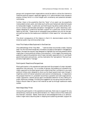groups and nongovernment organizations would be able to utilize the Internet to mobilize political support, especially against a U.S. administration that chooses to employ military force in a crisis fraught with uncertainty and potential domestic controversy.

Further, there is the possibility that the "facts" of an event can be powerfully manipulated via text, audio, and video (such as the use of advanced video techniques to manipulate images). In particular, such techniques may allow a wide variety of actors to conduct sophisticated perception management or public diplomacy campaigns designed to undermine domestic support for a particular course of action taken by the USG. These kinds of campaigns pose problems not only for the government but also for the media as an institution in their search for "accurate coverage."

The direct consequence of this feature is that U.S. decisionmakers and/or the American public may not know what is real.

#### **How This Feature Was Explored in the Exercise**

The methodology of the "Day After . . ." exercise does not provide a ready "playing field" for the more technologically innovative concepts of perception management. Rather, the exercise scenario was designed to highlight the role that powerful NGOs might play in future political military crisis scenarios. In this regard, the scenario appeared to capture the potential role of major domestic opponents to U.S. and Saudi government plans and policies—and by implication the "perceptions" that such opponents might seek to "manage."

#### **Participants' Reactions/Perspectives**

Most participants in the operational exercises took the prospect of major domestic opposition very seriously. For a number of groups, the presence of a powerful domestic opponent to the Saudi government undermined their confidence in any overt political military plan designed to shore up the Saudi government even though it might be a victim of Iranian subversion and coercion simultaneously. In response to the prospect that the U.S. president would face a powerful and well-organized domestic opposition, several groups gave considerable attention to the crafting of a public diplomacy strategy, including the suggestion by one group that the administration should make its case on the Internet as well as through traditional media outlets.

#### **Next Steps/Step Three**

Among the participants in the operational exercises, there was no support for any extraordinary maneuver by the administration of a "Seize control of the media and the Internet!" character. Rather, there was an acknowledgment that a U.S. administration might have a daunting task in shaping and sustaining domestic support for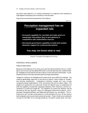any action that called for U.S. military intervention in a regional crisis marked by a high degree of ambiguity and uncertainty in the IW realm.

Figure 8 summarizes the key elements of this feature.



#### **STRATEGIC INTELLIGENCE**

#### **Feature Description**

Because of the features of low entry price and blurred boundaries, the U.S. intelligence community may face great difficulties in providing timely and credible strategic intelligence to the executive branch about current and future IW threats—a challenge that many of the exercise participants strongly emphasized.

Targets for collection of intelligence will clearly be far more difficult to identify. The classical geostrategic approach of focusing on specific nation-states as "threats" has become obsolescent. Intelligence collection targets will now include nongovernmental organizations, TCOs, and actors that are not nation-states. The weight and significance of a particular threat will depend upon an assessment of both the capability of potential cyberspace attackers, their intentions, and the vulnerability of a particular target set. The capability of a particular attacker may be obcured by the very dynamic nature of cyberspace telecommunications, microprocessor hardware/software, and defensive techniques, e.g., encryption. This infrastructure will include a wide spectrum of the elements of a turn-of-the-century technologically and economically advanced society. These infrastructure elements include (1) the PSN, (2) oil and gas pipelines, (3) electric power grids, (4) trans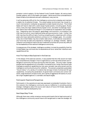portation control systems, (5) the Federal Funds Transfer System, (6) various bank transfer systems, and (7) the health care system. While some of the vulnerabilities of these infrastructure elements are well understood, many are not.

It will be extremely difficult for the intelligence community to develop and maintain a stable list of potential threats. The overall global environment has moved to a much more dynamic multipolar as opposed to a static bipolar structure. The United States will have to deal with a wide range of great powers, including Japan, Russia, China, India, the major states of the European Union, and other increasingly important nations like Indonesia and Brazil in circumstances of cooperation and competition. Depending upon the specific geostrategic and economic circumstance, the USG may find one or more traditional allies acting as economic rivals. Further, the USG may face the difficult task of sorting competing policy objectives with military peers who have nationalist ambitions contrary to U.S. strategic goals. On a smaller scale, the United States may face smaller state actors, multinational corporations, and TCOs that are able and prepared to challenge U.S. strategic interests. Setting collection and analytical resources and investment priorities will prove very difficult for the leadership of the national intelligence community.

Consequences of the strategic intelligence problem include the possibility that the United States may not know who its adversaries will be or what their intentions and capabilities will be.

#### **How This Feature Was Explored in the Exercise**

In the design of the exercise scenario, it was posited that the USG would *not* make any comprehensive changes in how it organized its current law enforcement and intelligence community structure during the next five years. The only major change posited was the appearance of a Domestic Counterterrorism Center that would have intelligence analytical capabilities but rely upon domestic law enforcement and the intelligence community structure for collection. The scenario presented a postulated "future history" of a variety of incidents that strongly hinted of enhanced IW-type capabilities, including the penetration of government command and control networks, large diversions of bank funds, and a series of aggressive IW events of uncertain origin targeted against U.S. domestic and Saudi targets.

#### **Participants' Reactions/Perspectives**

Participants in the operational exercises expressed considerable frustration that in this scenario the intelligence community was so ineffective in providing precise strategic intelligence about the source and nature of future IW threats, especially those that might be developed by Iran.

#### **Next Steps/Step Three**

Although there was a wide consensus among participants that at least some part of the intelligence community would have to be reorganized to meet the strategic IW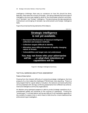intelligence challenge, there was no consensus on how this should be done. Basically, there were two schools of thought. One group believed that some type of interagency structure was needed to allow for the coordinated collection and analysis of "domestic" and "foreign" intelligence. The second group strongly opposed any institutional commingling of domestic law enforcement and foreign intelligence tasks.

Figure 9 summarizes the key elements of this feature.



**Figure 9—Strategic Intelligence Summary**

#### **TACTICAL WARNING AND ATTACK ASSESSMENT**

#### **Feature Description**

Flowing from the inherent difficulty of conducting strategic intelligence, the time pressure of a crisis makes the challenge of TW/AA even more daunting. There is a real prospect that for a given attack or situation, the national command authorities will be presented with strongly conflicting assessments from different law enforcement and intelligence community organizations.

An attacker using cyberspace weapons is able to conduct strategic operations at unprecedented speeds and withdraw to the confines of cyberspace. Finding the "smoking gun" in a timely fashion will be very difficult if not impossible, especially in the context of a severe crisis in which there is little time for a more traditional law enforcement-type investigation.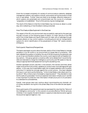Given the increased complexity of a variety of communications networks, database management systems, and systems controls, some events will be the product of bad luck or bad design. Further, there are likely to be strategic offensive measures in which systems are penetrated and compromised over the course of a multiyear "preparation of a battlefield." Much of this activity may be misdiagnosed.

The result of this feature is that the United States may not know an attack is under way, who is attacking, or how the attack is being conducted.

#### **How This Feature Was Explored in the Exercise**

This aspect of the IW crisis environment was successfully captured by the exercises through inclusion of the following types of events: (1) major failures of the PSN within the United States and Saudi Arabia and (2) major acts of sabotage through software attacks on key control systems, including ground and air transportation systems for which identification of the perpetrators of these "IW" events remains ambiguous.

#### **Participants' Reactions/Perspectives**

The teams expressed concerns about the basic ability of the United States to manage escalation in an IW conflict in an environment of a great deal of uncertainty. One team debated the question of whether the use of IW techniques by the adversary was an act of war and therefore whether the country could respond with all feasible military options. One group gained a consensus after some debate that it would be feasible and desirable to merge the intelligence community and FBI assets to help develop an appropriate threat assessment during this escalating crisis.

Another expressed concern was that, in the scenario, the Iranians (and their allies) might not be at the limits of their capability to conduct even more damaging IW-type attacks. In this case, the United States might risk increased retaliation with uncertain outcomes if it reacted too strongly against the current actions. One team debated this issue in such terms as the following: "Is the United States under attack and if so, by whom? Why is there a lack of emergency response plans?" They decided to close the fire walls of a postulated "minimum essential information infrastructure" and felt it was important to probe this new information infrastructure prior to its activation to understand its vulnerabilities.

Overall, most groups were very cautious about recommending any dramatic act of military escalation during the crisis phase (Step One) of the exercise (see Appendix D).

Many participants of the operational exercise expressed the view that the "failure of the intelligence community" in this scenario to provide effective TW/AA seriously inhibited, if not crippled, the administration's capacity to take decisive action against the would-be regional hegemon, Iran.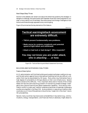**Next Steps/Step Three**

Similar to the debate over what to do about the dilemmas posed by the strategic intelligence challenge, the participants split between those who were prepared to consider a more radical mix of domestic law enforcement and foreign intelligence institutions and those strongly opposed to any commingling.

Figure 10 summarizes the key elements of this feature.



**Figure 10—Tactical Warning and Attack Assessment Summary**

#### **BUILDING AND SUSTAINING COALITIONS**

#### **Feature Description**

A U.S. administration will find that building and sustaining foreign coalitions to support forceful action against future international hostilities will be very difficult, a situation that may be exacerbated by IW issues. Many allies may themselves have a high degree of vulnerability to IW-type attacks on their core infrastructure. Several factors enhance this difficulty. First, important allies and/or friends of the United States will face the same daunting problem of maintaining reliable strategic intelligence and a tactical warning and attack assessment capability. Once serious information conflict is under way, coalition sustenance becomes increasingly challenging as allies are engulfed in the fog of IW. Acute problems in executing a coalition plan could also occur if one of the partners is found to be a "weak link in the chain" due to IW vulnerabilities.

Second, many countries may have acute vulnerabilities in key sectors (e.g., communications, energy, transportation, and financial) that an adversary might attack to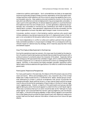undermine coalition participation. Such vulnerabilities are likely to be especially acute during the early phase of these countries' exploitation of the information technology revolution when attention will focus more on acquiring capability than on ensuring system security. New systems procured outside the country (in the name of early and cost-effective commercial deployment) may prove especially vulnerable. A case in point is the rapid diffusion of cellular telephone systems in countries that lack the traditional land line-wire infrastructure. Current-generation cellphones are potentially very vulnerable to monitoring and interference and theft of subscriber identification numbers. New-generation cellphones will be less vulnerable, but the cost of a generation turnover may deter rapid change in lower-income countries.

Conversely, another concern is that tentative coalition partners who would need military assistance may demand assurances that a U.S. deployment plan to their region is not vulnerable to IW disruption before they commit to coalition participation.

U.S. future dependence in conflict on allies and coalition partners that are potentially vulnerable (possibly in unique ways) to strategic IW is a consequence with significant impact on national security strategy, which implicitly assumes their timely and stalwart support.

#### **How This Feature Was Explored in the Exercise**

During the operational exercise scenario, this issue was illuminated by the description of a series of events taking place worldwide that provided the participants with a profound sense of uncertainty about the character of the attack. Especially telling were ambiguous IW-type events that unfolded in Egypt, which undermined that government's support for a U.S. decision to send forces to shore up a beleaguered Saudi regime. Similarly, in the scenario the highly energetic domestic opposition within Saudi Arabia conducts extensive IW-type actions in an effort to undermine the Saudi government.

#### **Participants' Reactions/Perspectives**

For many participants in the exercises, this feature of the IW scenario was one of the most worrisome. While acknowledging that a very important ally of the United States was in deep trouble due to a "combined arms" attack, several groups considered attempting to broker a political arrangement that would incorporate the emerging domestic Saudi political forces in a new internal Saudi political arrangement to secure the territorial sovereignty of Saudi Arabia in the face of Iranian hegemonic aggressiveness. Overall, a majority of the participants and groups decided against taking any action that would appear to undermine the current Saudi regime. There was a consensus that such an action would be seen as the "betrayal of a loyal allied regime" and could facilitate the Iranians' gaining hegemony over the Persian Gulf region. In the end of the group debates, a major fraction agreed in principle that the United States should provide the Saudi government with defensive measures to protect itself and the Saudi national information infrastructure from future IW-type attacks.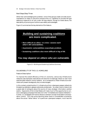**Next Steps/Step Three**

Other than acknowledging this problem, none of the groups made concrete recommendations on steps or policies to enhance the U.S. capability to provide IW-type defensive measures to an ally under IW-type attacks, though as noted above, the desirability of pursuing such actions was readily acknowledged.

Figure 11 summarizes the key elements of this feature.



**Figure 11—Building and Sustaining Coalitions Summary**

# **VULNERABILITY OF THE U.S. HOMELAND**

#### **Feature Description**

To improve the overall efficiency of the U.S. economy, various key infrastructure networks (see examples cited above) will become increasingly reliant on ever more sophisticated network control systems. As a consequence, these infrastructure elements will present strategically very lucrative targets.

In this context, protecting the U.S. infrastructure from cyberspace weapon attacks by threatening retaliation appears extremely problematic. As noted, there is likely to be a great deal of ambiguity about the source of many strategic information warfare events. Opponents of the United States will make much of the opportunity to conduct a damaging campaign that does not invite "immediate and massive retaliation." Further, U.S. strategists will have to devise a coherent concept of escalation and escalation control. This may prove daunting when there is considerable uncertainty about the actual "lethal radius" of a particular cyberspace weapon, much less the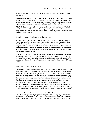collateral damage caused by the successful attack on a particular national information infrastructure.

Aside from the possibility that future opponents will attack the infrastructure of the United States in response to U.S. military action taken in a particular Eurasian theater of operation, there is also the possibility that this opponent will be able to exploit cyberspace to manipulate the U.S. domestic perception of the conflict.

The U.S. "Zone of the Interior" is thus potentially very vulnerable to an IW attack and for the foreseeable future it will be very difficult to prove the contrary. The consequence of this feature is inescapable: The U.S. sanctuary is lost against this new face of strategic conflict.

#### **How This Feature Was Explored in the Exercise**

As noted above, this scenario posits a continuation of trends already under way. Within the next five years, the telecommunications and control networks of the entire U.S. economic infrastructure will become increasingly interconnected. In response to the possible vulnerability of this national infrastructure, the exercise scenario posited that a minimum essential information infrastructure (MEII) might ensure support for the U.S. defense strategy of deploying an MRC-scale intervention force into a Eurasian regional crisis.

A secondary but high-priority feature of the conceptual MEII was a set of rules and regulations sponsored by the federal government to encourage the owners and operators of the various national infrastructures to take measures to reduce their infrastructures' vulnerability and/or to ensure rapid reconstitution in the face of IW-type attacks.

#### **Participants' Reactions/Perspectives**

The prospect of future major damage to infrastructure in the United States during the course of the crisis was taken very seriously by the exercise participants. Several groups became so concerned about the vulnerability of the United States to further strategic IW-type attacks that they chose very cautious escalation options. Many proponents of this perspective expressed considerable concern about the likely prospect that the United States was more vulnerable to a strategic information warfare campaign than the opponent, in this case Iran. The second school of thought favored some IW response to what was perceived as a sophisticated form of Iranian aggression. Although some members were troubled by the problems and prospects of controlling escalation in this crisis, they strongly believed that a passive approach would set a disastrous precedent by validating IW-type techniques as a new type of warfare.

On the matter of defensive measures for the U.S. infrastructure, there were two schools of thought. Most groups were skeptical about taking any decisive action other than providing reassurance to the American public that the various infrastructures of the United States had a capacity to suffer disruption but could be reconsti-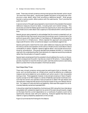#### 32 Strategic Information Warfare: A New Face of War

tuted. There was a broad consensus among most groups that dramatic action would "do more harm than good," causing even greater disruption to the particular infrastructure under attack rather than providing a defensive benefit. Most groups favored a cautious public affairs posture with the watchwords, "Don't promise the public too much."

A second school of thought was prepared to recommend to the president that several defensive measures should be taken, including bank and market holidays. This would also provide the federal government the opportunity to show the public that the infrastructure under attack had a capacity to reconstitute within a short period of time.

Several groups were prepared to acknowledge that the scenario presented such an acute dilemma that they would recommend promoting a quick compromise to the political issues within Saudi Arabia if it facilitated an IW deescalation and cease-fire vis-á-vis the U.S. infrastructure. Others rejected this approach and pressured for large-scale IW and/or other conventional weapon counterattacks against Iran.

Several participants noted that the most useful defensive measures were those that the various owners and operators of the various infrastructures could take to reduce vulnerability to attack, heighten vigilance against attack, and provide active procedures for reconstitution. One group decided that whatever the MEII is, it should be used with the understanding that most elements of a response would be procedural rather than the activation of a specific system.

Several teams emphasized that the president should address the country on the potential consequences the public may face as a result of IW actions. It was judged especially important to have the American public see that positive actions were being taken to protect their funds and assets in the financial sector.

#### **Next Steps/Step Three**

There was a broad consensus among exercise participants that no dramatic measures, such as shutting down an infrastructure, would be effective as a defensive measure (and some skepticism as to whether such action would, in fact, be possible during a crisis). There appeared, however, to be a broad consensus in favor of exploring the concept of an MEII based on a series of federally sponsored incentives to ensure that the owners and operators have procedures to detect IW-type attacks and reconstitution measures that would minimize the impact of any one network disruption. For reasons of costs and technical feasibility, there was little support for an exclusively federally owned and operated MEII.

It should be noted that the feasibility of achieving an MEII along the lines cited above was greeted with substantial skepticism by some of the exercise participants, largely on the basis that the current dependence on a multitude of systems could not be significantly reduced, even with prior planning. Everyone agreed that there was a need for a rigorous feasibility assessment on the concept.

Figure 12 summarizes the findings for this feature.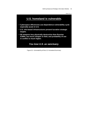Defining Features of Strategic Information Warfare 33



# **U.S. homeland is vulnerable.**

- **Cyberspace efficiencies-use-dependence-vulnerability cycle especially acute in U.S.**
- **U.S. info-based infrastructures present lucrative strategic targets.**
- **IW weapons less physically destructive than Russian ICBMs, but much cheaper to field, and probability of use in conflict is much higher.**

# **You lose U.S. as sanctuary.**

**Figure 12—Vulnerability of the U.S. Homeland Summary**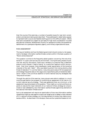Chapter Five

# **ISSUES OF STRATEGIC INFORMATION WARFARE**

Over the course of the exercises, a number of possible issues for near-term consideration and decisionmaking were described. Those addressed in detail below appear to represent both a sound and feasible starting point on this difficult subject. Others that were considered but judged not yet ready for high-level consideration included educational initiatives, development of policy on assistance to allies, the possible establishment of a cyberspace regulatory agency, and military organizational issues.

#### **RISK ASSESSMENT**

The issue of whether and how the federal government should conduct a risk assessment of strategic information warfare threats contains within it the basic question of "Risk to what enterprise?"

This question is similar to the frequently asked question concerning "the role of deterrence" in a post–cold war security environment. During the early phases of post– cold war security discussions, there was a tendency to presume that a deterrent posture could impose a "state of being" on a particular regional conflict environment. Over time, however, there developed a wider appreciation of the transitive character of the verb "deter": Who was deterring whom from doing what by what threat of retaliation? In a similar fashion, many discussions about IW risk assessment and strategy frequently take on the vague and unspecified quality of existential deterrence—shown in the uncritical assertion of some national security strategists that "they would not dare."

Through the vehicle of the exercise, many groups were able to address in a much more focused fashion the prospect of conducting an assessment of IW risks to U.S. current national security strategy. There was agreement that, as a minimum, a risk assessment required answers to the question, "How might our current and future capacity to execute the major elements of our national military strategy be compromised or even defeated by new information warfare threats against key elements of the national information infrastructure?"

Such a risk assessment will require an examination of how new information warfare capabilities might be used against a particular target array to defeat a major element of U.S. national military strategy, e.g., the requirement to conduct two nearly simultaneous MRCs. As described in this analysis, there are four potential theaters of mili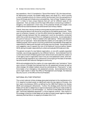tary operations—the U.S. homeland or "Zone of the Interior" (ZI), the intercontinental deployment process, the theater battle space, and allied ZI's—which provide a more complete picture of a future conflict environment from the perspective of future IW threats and infrastructure vulnerabilities. Each of these "theaters of operation" is likely to have unique features that will call for different types of risk assessment. Here, as noted, one of the major difficulties in conducting a credible interagency risk assessment is that many of the potential threats and targets cross traditional boundaries between law enforcement and military matters.

Overall, there was a strong consensus among exercise participants that a risk assessment along the above lines should be conducted by the federal government. There was no consensus, however, on how this effort should be organized. One school of thought strongly believed that this assessment could be successfully conducted within the current structure of the U.S. intelligence community. As one advocate of this point of view put it, "What is needed is the right tasking." Others were skeptical about such an approach. Some advocated the creation of a new agency for this and related purposes, which would cut across jurisdictional lines between those agencies responsible for dealing with domestic and foreign security threats. Along these lines, one suggestion was to expand the role of the National Communications System (NCS), giving it broader responsibility to collect and evaluate IW threats and risks.

The general concept of a new federal organization, or one with a greatly expanded mandate, was strongly opposed by two different factions: Some believed that the current environment of federal government retrenchment precluded the creation of a new agency and/or organization even if only as a risk assessment center, while others were strongly opposed to any institutional commingling of the tasks of domestic law enforcement and national intelligence community.

While acknowledging that the creation of a new organization was "premature," there was a school of thought that believed that the risk assessment process (as well as other strategic IW-related matters) should be centralized at a "focal point," or task force leader, of an interagency risk assessment process. Some believed this focal point might reside in either the Office of Management and Budget, the National Security Council, or the Office of the Vice President.

#### **NATIONAL MILITARY STRATEGY**

The current national military strategy gives great emphasis to the maintenance of a U.S. capacity to project power on significant scale into key regions of Eurasia—the two nearly simultaneous MRCs as defined by the 1993 DoD Bottom-Up Review (BUR) and subsequent refinements. Further, this strategy posits that the United States will be able to defeat future regional adversaries with forces made smaller by exploiting advances in C3I technologies—i.e., that the United States will be able to gain "dominant battlefield awareness" in future regional conflicts. Also implicit in this strategy is that the United States will be able to project power against a regional adversary that has little or no capacity to threaten the U.S. ZI.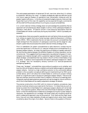This anticipated exploitation of advanced C3I will, over time, allow the U.S. military to substitute "efficiency for mass"—to deploy strategically agile and efficient forces into future regional theaters of operations over transoceanic distances with far greater logistics efficiency. In the face of projected budget pressures, there are high hopes that much of this new C3I capability can be acquired through a commercial off-the-shelf (COTS) process without incurring any unusual vulnerabilities.

U.S. current national military strategy does not acknowledge the possibility that an opponent will simultaneously attack targets in all four of the cyberspace theaters of operation cited above. Of special concern is the planning assumption that the United States will remain a sanctuary during any future MRC—which is probably obsolescent.

As noted above, there are powerful operational and cost factors that are pushing the U.S. military to exploit the fruits of what has been called the Revolution in Military Affairs (RMA). RMA investments that do not take into account vulnerabilities that might emerge from the evolution of cyberspace could thus set the stage for catastrophic system failures and place the overall national military strategy at risk.

The U.S. battlefield C3I system vulnerabilities to radio-electronic combat may become less significant in the face of U.S. national infrastructure vulnerabilities to cyberspace weapon attacks. As noted, the significance of distance is greatly reduced in IW, and the boundaries between the different theaters of military operation can become blurred. This suggests that future opponents may attempt to bypass U.S. technological and material strength within a potential regional theater of operation and attack strategic vulnerabilities that may reside in the ZI's of the United States or key U.S. allies. In essence, future opponents will exploit cyberspace weapons to "attack U.S. strategy" and not necessarily directly confront U.S. tactical/operational warfighting capability.

These new "strategic" vulnerabilities raise profound questions as to whether and how the USG will be able to devise a credible continental defense against cyberspace weapon attacks. Central to a high-confidence solution to the continental defense problem is the successful conceptual defining and implementing of an MEII as described above, which will allow the United States to continue to project military power on a significant scale in the face of cyberspace weapon attacks. Failure to design and maintain some kind of MEII that is credible in the face of increasingly technologically sophisticated potential opponents will set the stage for future conflicts in which the United States will be readily subjected to strategic IW attacks.

The precise construction of an MEII with its mixture of systems, procedures, laws, and tax incentives remains as an exercise for the future. It is likely that any such attempt to protect the United States from cyberspace weapon attacks will not be leak proof. This raises the question, What is the role of the threat of retaliation to deter attacks? Unlike the development of deterrence strategies during the nuclear weapons revolution, the appearance of a strategic IW threat raises very troubling issues for which a deterrence approach may not be practical. First, there are the major questions, How will one make retaliatory threats and against whom when there is great uncertainty about the origin of an attack. Second, there is the question of the pro-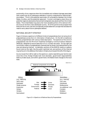portionality of any response when the immediate and collateral damage associated with a particular act of cyberspace retaliation is poorly understood by national decisionmakers. Third is the potential asymmetry of vulnerability between the United States, its allies, and the potential opponent. Current contingency plans focus on potential regional adversaries that are technologically less advanced than the United States. The United States may place a far more valuable portion of its national infrastructure at risk than a less-developed country. All of this points to the prospect that there will be no low-cost and conceptually simple deterrent concept that obviates the need to worry about future cyberspace attacks.

#### **NATIONAL SECURITY STRATEGY**

Figure 13 shows a spectrum of different kinds of preparedness (but not amounts of preparedness) across the U.S. information infrastructure. On the left is traditional military preparedness with various listed descriptors. The epitome of this kind of preparedness was the Minimum Essential Emergency Communications Network (MEECN), designed to ensure execution of U.S. nuclear war plans. On the right are nonmilitary means of preparedness characterized as shown and exemplified by the new and growing Internet. Incidentally, portions of the MEECN reside on systems found more to the right, like the public switched net; and portions of the Internet may be found in the defense information infrastructure toward the left of this figure.

As one moves from left to right on the spectrum, events resembling war tend to look more like crime, foreign threats look more domestic, government responsibilities fade to private issues, and within government, the federal level changes to the local level.



**Figure 13—A Spectrum of National Security Preparedness**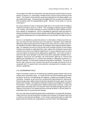The concept of an MEII as introduced in the exercise would consist of that minimum portion of various U.S. information infrastructures critical to the functioning of the nation. This fraction of the total NII would be protected from IW attack (albeit in as yet undescribed ways). The participants struggled with this concept, articulating the final consensus with this representative quote: "We don't know what it is, but we must have it."

An actual example of what is being discussed here is the Government Emergency Telecommunications Service, or GETS. This multiagency federal program enables civil, military, and industry officials to use the commercial public telecommunications network in emergencies. GETS is mandated by executive order and administered by the National Communications System with Defense Department funding. It is a software-based approach to preparedness and may represent the beginning of an MEII.

Since it is not feasible to protect the entire U.S. information infrastructure from attack, the vertical arrows along the top of the spectrum represent "point defenses" defined by selecting the parts of the infrastructure most critical to military and civilian operations and then defending them by whatever means appropriate and affordable. For example, the arrow on the far left could indicate a portion of the military infrastructure placed on dedicated fiber optic cables with protected input/output switches procured by the Defense Department to ensure essential point-to-point communications to enhance force deployment capabilities. One of the arrows toward the right could represent a law that would allow cooperation between the intelligence community and domestic law enforcement agencies to improve the gathering of intelligence on U.S. citizens who operate in cyberspace counter to U.S. national interests—or that would impose some protection standards. The arrow on the far right could be a tax incentive that would encourage commercial firms to cooperate with U.S government–led protection processes and to develop reconstitution capabilities.

#### **U.S. GOVERNMENT ROLE**

Figure 14 portrays a spectrum of existing and potential governmental roles across military and nonmilitary issues. It is clear that the role that the federal government will play in all of this is fundamental; this assertion cropped up throughout the exercise series. However, as we move from constitutional requirements for national defense through public safety toward things that represent the public good, the role of government changes. The operative emphasis of governing changes from operation to facilitation—from owning fiber optic cables to enacting tax incentives. Clearly, the government's perceived role in this area will have to be balanced against public perceptions of the loss of civil liberties and the commercial sector's concern about unwarranted limits on its practices and markets.

As in any new issue of potential government involvement in an area with strong domestic economic and social equities, the extent and character of the government role is certain to stimulate strong debate. In this context, participants seem to prefer that government and industry act cooperatively in pursuit of their interrelated goals.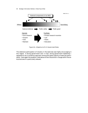

**Figure 14—A Spectrum of U.S. Government Roles**

The extensive participation of industry in the exercises was highly encouraging in this regard. A strong government role—in fact, strong government leadership appeared to be a consensus approach among the great majority of exercise participants. Here again the question cited above of who should be in charge within the executive branch is particularly relevant.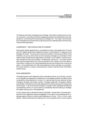Chapter Six

# **CONCLUSIONS**

The features and likely consequences of strategic information warfare point to a basic conclusion: Key national military strategy assumptions are obsolescent and inadequate for confronting the threat posed by strategic IW. Five major recommendations emerged from the exercises as starting points for addressing this shortcoming. They are discussed below.

### **LEADERSHIP: WHO SHOULD BE IN CHARGE?**

Participants widely agreed that an immediate first step is the assignment of a focal point for federal government leadership toward a coordinated U.S. response to the strategic IW threat. This focal point should be located in the Executive Office of the President, since only at this level can the necessary interagency coordination of the large number of government organizations involved in such matters—and the necessary interactions with the Congress—be effectively carried out. This office should also have the responsibility for close coordination with industry since the nation's information infrastructure is being developed almost exclusively by the commercial sector. Once established, this high-level leadership should, perhaps via a presidential review directive, initiate a comprehensive review of national-level information warfare issues.

#### **RISK ASSESSMENT**

The federal government leadership entity cited above should, as a first step, conduct an immediate risk assessment to determine, to the degree possible, the extent of the vulnerability of key elements of current U.S. national security and national military strategy to strategic information warfare. Strategic target sets, IW weapons effects, and parallel vulnerability and threat assessments should be among the components of this review. In an environment of dynamic change in both cyberspace threats and vulnerabilities, there is no sound basis for presidential decisionmaking on strategic IW matters without such a risk assessment.

In this context, there is always the hope or the belief—we saw both in the exercises that the kind of aggressive response suggested in this report can be delayed while cyberspace gets a chance to evolve robust defenses on its own. This is, in fact, a possibility—that the healing and annealing of an immune system that is under constant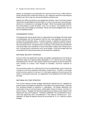assault, as cyberspace is and assuredly will continue to be (if only, in Willy Sutton's words, because that's where the money is), will create the robust NII that everyone hopes to use. But it may not, and we are certainly not there now.

Against this difficult projection and assessment situation, there is the ever-present risk that the United States could find itself in a crisis in the near term, facing the possibility of, or indications of, a strategic IW attack. When the president asks whether the United States is under IW attack—and, if so, by whom—and whether the U.S. military plan and strategy are vulnerable, "We do not have the foggiest idea" will not be an acceptable answer.

#### **GOVERNMENT'S ROLE**

The appropriate role for government in responding to the strategic IW threat needs to be addressed, with the recognition that this role—part leadership and part partnership with the domestic sector—is certain to evolve. In addition to performing certain basic preparedness functions—such as organizing, equipping, training, and sustaining military forces—the government could play a more productive and efficient role as facilitator and maintainer of some information systems and infrastructure, and—through policy mechanisms such as tax breaks—could encourage reducing vulnerability and improving recovery and reconstitution capability.

#### **NATIONAL SECURITY STRATEGY**

Once an initial risk assessment has been completed, preparedness for the threat as identified needs to be appropriately addressed in U.S. national security strategy. Preparedness for IW will cross several traditional boundaries across the spectrum from "military" to "civilian," from "foreign" to "domestic," and from "national" to "local."

One promising means for instituting this kind of preparedness could involve the concept of a minimum essential information infrastructure. The MEII is conceived as the minimum portion of various U.S. information systems critical to ensure the nation's continued functioning. An assessment of the feasibility of an MEII should be made.

#### **NATIONAL MILITARY STRATEGY**

The current national military strategy emphasizes maintaining U.S. capability to project power into theaters of operation in key regions of Europe and Asia. There are four emerging theaters of operation in cyberspace: the theater battlefield, the transoceanic lines of communication, allied states' Zones of Interior, and the U.S. Zone of Interior. Strategic IW reduces the significance of distance with respect to the deployment and use of weapons. Therefore, battlefield C3I vulnerabilities may become less significant than vulnerabilities in the national infrastructure. Consideration of these IW features should be accounted for in U.S. national military strategy.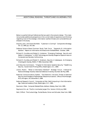# **ADDITIONAL READING: THREATS AND VULNERABILITIES**

Below is a partial listing of references that we used in the scenario design. This material provides additional perspective on the current state of experience and thinking regarding most of the strategic information warfare threats and vulnerabilities addressed in this study.

- Arquilla, John, and David Ronfeldt. "Cyberwar is Coming!" *Comparative Strategy*; Vol. 12, 1993, pp. 141-165.
- Defense Science Board Summer Study Task Force. "Appendix B: Information Warfare." *Report on Information Architecture for the Battlefield*. October, 1994.
- Richard O. Hundley and Robert H. Anderson, "Emerging Challenge: Security and Safety in Cyberspace," in *IEEE Technology and Society Magazine* (Special Issue on Computers and Society), forthcoming.
- Richard O. Hundley and Robert H. Anderson, *Security in Cyberspace: An Emerging Challenge for Society,* RAND, P-7893, December 1994.
- Joint Security Commission. "Chapter 8: Information Systems Security." *Redefining Security*. Government Printing Office, Washington, D.C.; 1994.
- Libicki, Martin. "What Is Information Warfare?" *Strategic Forum*. Institute for National Strategic Studies, National Defense University; Number 28; May 1995.
- National Communications System. *The Electronic Intrusion Threat to National Security and Emergency Preparedness Telecommunications*. Office of the Manager, NCS; Arlington, VA; December 5, 1994.
- National Research Council. *Computers at Risk: Safe Computing in the Information Age.* National Academy Press, Washington, D.C.; 1991.
- Neumann, Peter. *Computer Related Risks*. Addison-Wesley, New York; 1995.
- Raymond, Eric, ed. *The On-Line Hacker Jargon File*. Version 2.9.10; July 1992.

Stoll, Clifford. *The Cuckoo's Egg*. Pocket Books, Simon and Schuster, New York; 1989.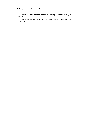44 Strategic Information Warfare: A New Face of War

———. "Defence Technology: The Information Advantage." *The Economist*. June 10, 1995.

———. "Police, FBI Hunt for Hacker Who Upset Internet Service." *The Seattle Times*. July 12, 1995.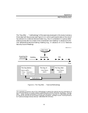# **METHODOLOGY**

The "Day After  $\dots$ " methodology<sup>1</sup> of the exercises employed in this study involves a three-step half-day process (see Figure A.1) in which participants take on the role of top advisors to a national decisionmaker (e.g., the U.S. president) in a group deliberative process akin to a classic time-constrained "pre-meeting" in advance of a formal deliberative/decisionmaking meeting (e.g., in advance of a U.S. National Security Council Meeting).



**Figure A.1—The "Day After . . ." Exercise Methodology**

\_\_\_\_\_\_\_\_\_\_\_\_\_\_

<sup>&</sup>lt;sup>1</sup>For examples of previous uses of this methodology to explore the national security implications of the continued diffusion of nuclear weapons capabilities see (1) Millot, Molander, and Wilson, "The Day After . . . Study: Nuclear Proliferation in the Post–Cold War World," Volumes I-III, 1993 (RAND MR-266- AF, MR-253-AF, MR-267-AF) and (2) Mesic, Molander, and Wilson, "Strategic Futures: Evolving Missions for Traditional Strategic Delivery Vehicles," 1995 (RAND MR-375-DAG).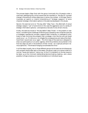The process begins (Step One) with the group (nominally 8 to 10 people under a chairman) addressing the critical issues that are manifest on "*the day of"* a pivotal change in the political-military status quo in some crisis context. In this step, there is invariably an explicit or implicit brandishing of "strategic weapons" of some character (strategic information options in the exercise developed in this study).

Second, the exercise turns to "*the day after"* (Step Two)**—**the aftermath of actual strategic weapon "use" of some kind (in this case the aggressive use of a variety of strategic information options)**—**and explores a new set of crisis-driven choices.

Finally, the exercise moves to "*the day before"* (Step Three)**—**in the present or near future**,** considering the challenge of devising and marketing new initiatives (policies or strategies, operational concepts, weapons R&D initiatives, or intelligence initiatives) to help minimize the prospect that a strategic crisis like the one just faced could occur**—**or, if it did occur, to mitigate the consequences and reduce the likelihood that it would ever occur again. This third step of the exercise is designed to draw out participants on an action agenda, while the problems encountered in the first two steps are still in the forefront of their minds**—**as in Samuel Johnson's famous aphorism, "The threat of hanging concentrates the mind."

In all the steps (usually, two or three different groups do the exercise simultaneously and compare results after each of the steps), the group's task is to revise a draft of a concise "issues and options" memo (e.g., to the U.S. president) on the key issues to be taken up at the imminent deliberative/decisionmaking meeting**—**and, where possible, to forge consensus on recommendations on individual issues.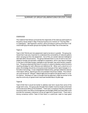Appendix B

#### **SUMMARY OF GROUP DELIBERATIONS FOR STEP THREE**

#### **OVERVIEW**

The material that follows summarizes the responses of the exercise participants to the policy issues raised in Step Three during the June 3 version of "The Day After . . . in Cyberspace." See Figures B.1 and B.2, which provide an outline of the flow in decisionmaking by the seven groups during Step One and Step Two of the exercise.

#### **Team A**

Team A felt TW/AA and risk assessment need to be done in parallel. The group believed that it was very important to understand the vulnerability of national systems when carrying out this risk assessment. Out of this, an overall national intelligence estimate (NIE) should evolve. The group believed there is a lot of work to be completed on foreign and domestic intelligence cooperation, which may require changes in the law to facilitate foreign intelligence and domestic law enforcement cooperation. The group observed that there is no policy in place to develop a doctrine and a resulting strategy for both offensive and defensive IW. When such a doctrine is in place, the strategy should be a living document because of the rapid changes in information technology. A new independent federal entity, perhaps called the national information officer, reporting to the vice president should be created. This individual could access all "relevant" federal agencies throughout the government in a matrix fashion. Members of Team A thought that the approach might be similar to the way the continuity-of-government issue was handled about 10 years ago.

#### **Team B**

Team B felt that it would be harder to address near-term issues than some of the longer-term ones. This group also thought that a leader must be chosen at the level of the Executive Office of the President. There was a consensus that this individual should be within the Office of Management and Budget (OMB) and that OMB could provide the necessary interaction across all agencies of government. There was a strong consensus within Team B that there is a particular need to have good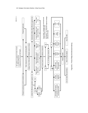

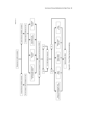

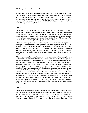cooperation between the intelligence community and the Department of Justice. This group felt that an MEII is neither feasible nor affordable, and that its elements are neither well understood. If an MEII is to be developed, they felt that some combination of the National Communications System/National Security Telecommunications Advisory Committee (NCS/NSTAC) should be responsible for it with OMB again providing the focal point.

#### **Team C**

The consensus of Team C was that the federal government should take a less ambitious role in protecting the national infrastructure. Team C members felt that the vulnerability of cyberspace is not an all-or-nothing proposition. They believe that the country can live with some vulnerabilities. Cyberspace has many strengths, and we need to exploit these strengths to provide protection to the U.S. national infrastructure. One such strength is its highly distributed nature.

There are too many actors involved in cyberspace to develop an overarching national strategy. Those organizations that operate in global cyberspace have increasing incentives to reduce the vulnerabilities of their systems. The U.S. government should exploit these natural incentives for the providers and end users to improve the overall national infrastructure's resilience to attack. Therefore, this group found that strong government action may not be appropriate and may, in fact, be counterproductive.

They recommended the use of a deft hand by government so actors can try to make systems safer on their own. The role of government should be threefold: (1) to participate in information consciousness-raising, (2) to coordinate some activities, and (3) to provide incentives for making the overall system safer. These could be tax incentives or investment incentives, etc. However, members of Team C believed that the government needs to respond to threats of IW with military actions where needed. The consensus was that the United States should be prepared to use force to defend U.S. vital interests. Team C recommended that the administration focal point should be some combination of the National Security Council and the National Economic Council. The team thought it would be a mistake to give the TW/AA responsibility to a single federal government entity; instead it should be given to the NCS/NSTAC. With regard to the MEII, the group felt that in this case the government could not depend on the marketplace to provide a national information infrastructure that would be resilient to IW-type attacks. There is a need for the MEII, and the DoD is the appropriate place for it.

#### **Team D**

Team D concentrated on examining the issues that lay behind the questions. They felt there was a critical need for risk assessments and there is much to be learned about the vulnerability of the national information infrastructure. The mere perception of a vulnerability may represent a very large strategic threat. The real issue is that "cyberspace vulnerability" is a technology/policy problem and that some of the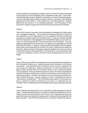political problems will perhaps be hardest to resolve. Members of Team D expressed concern about the conflict between public and general privacy laws. They recommended that these issues be debated in Congress as a means of generating awareness and identifying paths toward consensus solutions, perhaps to offer different approaches for their solution. These might be (1) a voluntary approach—between government and industry—or (2) a regulatory approach. As to the question of who should be in charge, this group felt it should be someone just below the president.

### **Team E**

Team E felt it was very important to articulate goals and strategies first, before laying out a management approach. The consensus of the group pointed to a need for a risk assessment, but the responsibility for this assessment should be distributed throughout all relevant agencies of the government. The group members believed that one organization could aggregate all of these different agency inputs and provide it to a coordinating official in the Executive Office of the President. They suggested an expanded NCS combined with a civil agency to be responsible for the risk and threat information. The group consensus was that the National Security Agency (NSA) clearly has the best ability to monitor the civilian infrastructure to determine the threat. Several members of the team questioned whether the country was willing to allow NSA to take on this responsibility. This group felt it is very important to have a long-term reevaluation of how a new NCS may be chartered given the new challenges.

#### **Team F**

Team F felt it was very difficult to develop solutions to the postulated vulnerability of the information infrastructure. Instead they examined a framework to think about the problem. They believed that this framework should include an assessment of such issues as (1) deterrence—deter by the spectrum of instruments that you can apply or deter by denial (from the information attack or from conventional attack); (2) cost pressures—there are extreme pressures to reduce the costs of operating the national information infrastructure, and thus companies do not put funds into protecting these systems. However, the infrastructure is very diverse and therefore provides inherent protection. Several members of Team F emphasized the issue of "asymmetrical vulnerabilities." The United States relies heavily on information systems to operate its national infrastructure, but many U.S. adversaries do not. Therefore, Team F believed that the United States faces a severe asymmetrical threat.

#### **Team G**

Team G reached concensus that it is very important to create a typology of major IW issues. The team believed that there is a need to understand what deterrence and escalation control/dominance means in this context. As for organizational issues, this group felt it was very important to develop a pool of resources that can deal with this type of problem. Team G felt that a task force or commission might be the best ap-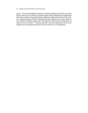#### 52 Strategic Information Warfare: A New Face of War

proach. They acknowledged the need for intellectual leadership (thinkers during the early nuclear era such as Kahn and Brodie were cited as examples) and agreed that there was a need to bring extraordinary intellectual resources to bear on this problem. Several members of Team G felt that there also needs to be a "sunset clause" to many federal initiatives dealing with informational infrastructure so that each one does not carry on forever. This group also felt it was very important to think of the problem as an international one and not just in terms of U.S. vulnerabilities.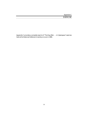Appendix C provides a complete reprint of "The Day After . . . in Cyberspace" exercise held at the National Defense University on June 3, 1995.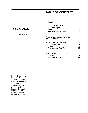# **TABLE OF CONTENTS**

|                                                                                                                                                                                                                                          | Methodology                                                                                                | 1 <sup>1</sup> |
|------------------------------------------------------------------------------------------------------------------------------------------------------------------------------------------------------------------------------------------|------------------------------------------------------------------------------------------------------------|----------------|
| The Day After                                                                                                                                                                                                                            | STEP ONE: The Day Of<br><b>Situation Report</b><br>Instructions<br>Memo for the President                  | 2<br>13<br>14  |
| in Cyberspace                                                                                                                                                                                                                            | (Note: Steps Two and Three are<br>provided on site.)                                                       |                |
|                                                                                                                                                                                                                                          | STEP TWO: The Day After<br><b>Situation Report</b><br><b>Instructions</b><br><b>Memo for the President</b> | 18<br>24<br>25 |
|                                                                                                                                                                                                                                          | STEP THREE: The Day Before<br><b>Instructions</b><br><b>Memo for the President</b>                         | 29<br>30       |
|                                                                                                                                                                                                                                          |                                                                                                            |                |
| Roger C. Molander<br>Peter A. Wilson<br>Andrew S. Riddile<br>Robert H. Anderson<br>John Arquilla<br>Steven C. Bankes<br>Anthony C. Hearn<br>Richard O. Hundley<br>Richard F. Mesic<br>Kevin O'Connell<br>David F. Ronfeldt<br>$\sqrt{4}$ |                                                                                                            |                |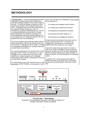### **METHODOLOGY**

**"The Day After..."** exercise methodology has been developed to explore and assess evolving post-Cold War strategic problems in the area of national security. The exercise design is based on a three step process lasting a total of approximately four hours. Participants take on the role of top advisors to a national decision-maker (e.g., the U.S. President) or a decision-making body (e.g., NATO) in a group deliberative process akin to a classic time-constrained "pre-meeting" in advance of a formal deliberative/ decision-making meeting (e.g., a "principals plus one" meeting in advance of a U.S. National Security Council Meeting).

The process begins (see schematic below) with the group convened to examine the critical issues that are manifest on "the day of" (STEP ONE)--a change or foreshadowed change in the strategic status quo in some future crisis context.

As a second pivotal point, the exercise turns to "the day after" (STEP TWO)--the aftermath of a major strategic event at a later point in the same crisis context (e.g., nuclear weapon use or strategic information warfare attack)--and explores a new set of crisis-driven choices.

As a final decision point, the exercise moves to "the day before" (STEP THREE)--to the present or near

future--and considers the challenges in one or more of the elements of:

- (1) crafting new strategies and/or policies,
- (2) creating new institutional structures,
- (3) designing new operational concepts,
- (4) launching new R&D initiatives, or
- (5) launching new intelligence initiatives

to help minimize the prospect that crises such as that just faced would occur--or, if they do, to mitigate their consequences, and reduce the likelihood that they would ever occur again.

In all of the steps the group's task is to revise a draft of an "issues and options" memo on the key issues to be taken up at the imminent deliberative/ decision-making meeting--and, where possible, to forge consensus on recommendations on individual issues.

In general, two or more groups go through the identical exercise at the same time and compare results and recommendations at the end of each step.



**"The Day After..." Methodology** (Examples: Facing Regional Adversaries with Nuclear Weapons or Strategic Information Warfare Capability)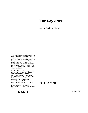# **The Day After...**

### **...in Cyberspace**

This material is considered proprietary to RAND. These data shall not be disclosed outside RAND and shall not be duplicated, used, or disclosed in whole or in any part for any purpose without the written permission of RAND. This restriction does not limit any individual's right to use information contained in the data if it is obtained from another source without restriction.

The "Day After..." methodology requires a realistic scenario; however, specific companies, systems, or system components appearing in this scenario are examples only and their appearance implies no unique capability or vulnerability. Attribution to any organization or entity shall not be made as a result of the text contained herein.

Please safeguard this material commensurate with the restrictions stated above.



# **STEP ONE**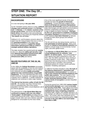# **STEP ONE: The Day Of... SITUATION REPORT**

### **BACKGROUND**

It is now mid-spring in **the year 2000.**

As the Twentieth Century drew to a close, **political changes and continued unrest** in the **Persian Gulf**, in **Pakistan**, in the **Islamic countries of the former Soviet Union**, and across the breadth of **North Africa** had created a new and profoundly troubled region of the world now frequently labeled **"the Islamic Arc of Crisis."**

Adding to U.S. and European concerns about this region was the rising prospect that one or more of the **potential predators** in the region had developed the capacity to **exploit the Global Information Infrastructure (GII) as a field of strategic political-military operations.**

The latter situation has sparked particular **anxiety** in the U.S. about the **safety and security** of **the U.S. National Information Infrastructure (NII)** and **an evolving Defense Information Infrastructure (DII)** (see below).

### **MAJOR FEATURES OF THE GII, NII, AND DII**

In the 1990s the **Cellular Revolution** proceeded apace with the availability of new low and medium earth orbit satellite constellations such as *Iridium* and Globestar providing **readily accessible global two-way communications via portable telephones.** It is now estimated that 25% of the North American, European, and Japanese adults routinely carry a cellphone. A similar explosion of cellphone use continues in other major markets.

**The Internet has become a pillar of both the NII and GII.** All countries now have Internet hosts, and it is estimated that 70% of the world's population now lives within a local telephone call of an Internet gateway.

The phenomenon of **the World Wide Web has continued to expand, with over one million "home pages" of information** providing links to data bases around the world. Many of these home pages include video and voice releases specially designed for consumption by the mass media.

One of the most significant trends of the past decade has been the **growth of electronic commerce**. Current estimates suggest that **a third of all formal U.S. business transactions now occur electronically** using both standardized data interchanges and specialized communications between cooperating companies employing a range of digital encryption standards. **Attempts by the U.S. government to establish a hardware encryption standard** (successors to the CLIPPER CHIP initiative) **have been thwarted** by lawsuits brought by both citizen groups and software companies**.**

The NII and GII are also being heavily used by a **new generation of activist groups.** Many such groups are **linked in transnational networks** that address a broad range of environmental, humanrights, and other global issues.

The **Internet** and **World Wide Web** have become **virtual battlegrounds for software "user agents" of various types.** Tens of thousands of such agents have been unleashed to roam "the NET" and "the WEB" looking for items meeting a profile of interests of their users. Other agents spend their time blocking access to information deemed private or sensitive, and scanning individual systems for viruses, worms and other "beasties" inhabiting cyberspace.

In 1998 the President decided to allow **the bulk of the Defense Department's "peacetime and administrative communications"** to continue to **rely on the commercial switched telephone and public data systems.** The vast majority of DII communications now pass over the commercial **Public Switched Network (PSN)**, relying on **various levels of encryption** to protect classified information.

During the period from 1995-2000 **various largely unsuccessful attempts** were made **to increase the security of the PSN**. These efforts have been complicated by the fact that **"the PSN" is run and maintained by many competing companies** including cable, cellular, and satellite operators, so that changes are difficult to mandate and place into effect. As a result, other than individual use of end-to-end encryption by cooperating parties, **PSN security in the year 2000 is not much better than that in 1995.**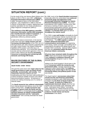As the result of the now famous Black Widow virus attack on MCI's PSN in June 1997, **a Minimum Essential Information Infrastructure (MEII)**--socalled "emergency lanes on the information highway"--was established in 1999 to meet the criterion of being able to support "deployment and wartime operations for two nearly simultaneous Major Regional Contingencies (MRCs)."

**The resilience of the MEII against a possible adversary information warfare (IW) campaigns has recently become subject to question**--a legacy of several near-successes in MEII penetration efforts by unknown parties.

In light of the above environment, in the last few years there has been **rising concern over the increasing interdependence** of the PSN, the U.S. electrical power grid, data networks supporting the air traffic control system, the Global Positioning Satellites (GPS) system, and other key U.S. infrastructure elements. As a result both national security and law enforcement agencies in the U.S. (and in other nations) are devoting **increasing resources to assessing and countering both domestic and foreign IW threats.**

### **MAJOR FEATURES OF THE GLOBAL SECURITY ENVIRONMENT**

#### **Saudi Arabia Under Stress**

The past few years have seen **major steps by the Saudi government to open up Saudi society politically, economically, and socially.** New independent television stations are now broadcasting and there has been wide proliferation of direct broadcast satellite receivers and cellular telecommunications systems. All elements of society are making increasing use of a variety of Internet nodes.

The **Saudi monarchy has suffered substantially** from internal dissent and distress since the 1997 death of King Fahd. **A weak successor now struggles to govern both the family and the kingdom,** which is increasingly beset by **growing tensions between an Islamic fundamentalist dissident movement and the "nationalist modernizers"** who currently dominate the Saudi government.

By 1998, much of the **Saudi dissident movement** (especially within the universities) had **coalesced around the goals and objectives of the increasingly influential Campaign for Islamic Renewal and Democracy (CIRD).** This loose transnational CIRD coalition, formed at the 1997 Damascus meeting of Islamic state and nongovernmental organizations (NGOs), has become **a prominent force for social and political change** in the **Persian Gulf** region as well as **throughout the Islamic world.**

The CIRD is **very well funded**, principally by North American and European Islamic sources but also in part by domestic sources in Saudi Arabia, Iran, and Pakistan. The **CIRD exploits a variety of modern advanced information and communications technologies** for organizing, fund-raising, media coverage, and building ties to organizations throughout the global Islamic and broader NGO community. Several CIRD chapters are now very **prominent within the North American Islamic community.**

**Oil prices have remained stable throughout the 1990s** which has forced the Saudi Kingdom to make **cutbacks in ambitious domestic and social programs** designed in part to "keep domestic peace."

Adding to the Saudi kingdom's fiscal woes is the broad **consensus within the monarchy and government elites**--strongly opposed by CIRD supporters within Saudi Arabia--that **defense spending must remain high in the face of the increasing military and political power of Iran** (see below).

The Saudi regime's **nervousness about their overall security and financial vulnerability** markedly increased in early 1998 following the revelation that **the Bank of Saudi Arabia had been "looted" of nearly \$1.2 billion by a sophisticated electronic attack** which for two months had successfully used "skimming" and other "cyberspace bank robbery" techniques before detection by a British financial security service. The Saudi government later found **strong evidence of both Iranian and Syrian involvement** in the attack.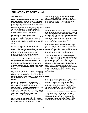### **Persia Ascendant**

**Iran's power and influence in the Persian Gulf rose dramatically** following the **1997 Iraqi civil war** that erupted in the wake of Saddam Hussein's abrupt departure. As a result of a highly effective Iranian intervention in the civil war, **Iraq is now essentially divided.** A weak post-Baathist central government has been installed in Baghdad while the Kurds in the north and Shiites in the south enjoy virtual autonomy in most matters.

**Iran openly supports radical Islamic fundamentalist groups in almost all of the Gulf states** and trumpets a "pan-Islamic" strategy of building a broad political-military coalition to "resist American and European hegemony in the Islamic world."

Iran's nuclear weapons ambitions are widely acknowledged though there is at present **no evidence that the Iranians have any operational nuclear weapons**. The Iranians continue to maintain that their rapidly growing nuclear infrastructure--which remains under IAEA inspection--is for "nuclear energy alone."

There is some **evidence of a covert Iranian indigenous nuclear weapons program**. Of greater concern are reports that Iran may have been able to **acquire significant quantities of weapons grade highly enriched uranium (HEU) from Russian organized crime sources** in the late-1990s.

Iran continues to improve its long-range weapons delivery capability which currently includes: (1) 36 **Russian Tu-22M Backfires,** (2) an IRBM force of two dozen **North Korean Nodong II missiles,** and (3) an MRBM force of 200-300 **Nodong I missiles.**

**Evidence of the extent of development of Iranian IW activity emerged in 1999 in India** when three Indian nationals (including an acknowledged "world class" software writer) were arrested by authorities after penetrating supposedly highly secure Indian defense networks, and in the course of plea-bargaining **confessed to selling Iran "a variety of 21st Century information warfare tools."**

Iran maintains **an uneasy relationship with the CIRD** which has resisted Iranian efforts to convert the coalition to a more fundamentalist Islamic

posture. In addition, a number of **CIRD leaders have privately criticized the slow pace of democratization in Iran.** However, intelligence sources report that Iran is channeling funds to some factions within the CIRD coalition.

### **Algeria**

Popular support for the Algerian military martial law government continued to unravel into 1996, and **in April 1996 a pro-Islamic "colonels' faction" led a coup which took control of the government** in concert with the "Rome coalition" of former government opposition groups. In the fall of 1996, an Islamic government was formally established in a new round of national elections.

In the summer of 1998, relations between Algeria and the U.S. and Europe began to deteriorate as the **new Algerian regime increasingly tilted toward the geo-strategic and political interests of Iran** and military cooperation programs between the two countries became more widespread.

During the summer of 1999, French intelligence services were alerted to the **attempted placement of a lethal "polymorphic" computer virus in the latest variant of the AirBus Industries AB-330 flight control software,** apparently by **Algerian agents in France acting under the direction of Iran.** French aviation authorities found that Aerospatiale had been relying upon several Indian software subcontractors which had access to supposedly "secure" source code development and compilers.

### **Libya**

In November of 1998 while flying to inspect a new chemical weapon facility in southern Libya, **President Qadhafi was severely injured** in a helicopter crash and shortly thereafter retired. In the political turmoil that followed, **a strongly nationalist Islamic government quickly seized power** and consolidated control of the country.

Much to the surprise of many observers, the new Libyan government **moved rapidly to hold elections** and embrace "Islamic democracy." It is now viewed as **one of the CIRD's strongest government supporters** in the effort to build a united democracy-based Islamic political force.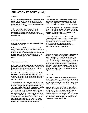### **Pakistan**

In 1997, the **Bhutto regime was overthrown by a military coup** which faulted the government for "political indecisiveness and inadequate military assistance" in the failed "Tet-like" **general uprising in Kashmir in late 1996.**

With the departure of the Bhutto regime, the military-dominated government took on **an increasingly militant Islamic stance** which included **dramatically expanded political-military ties with Iran.**

#### **Israel and the Arabs**

Israel signed **peace agreements with both Syria and Lebanon in 1997.**

In the summer of 1999, the Israeli government began to be subject to (in Mossad's terminology) "a new form of strategic warfare"--a series of **electronic attacks on Israel's military command and control system** by a sophisticated array of **"sniffers" and "logic bombs" of uncertain origin.**

### **The Russian Federation**

**A strongly "Russian nationalist" regime came to power in the 1996 elections** and moved quickly to consolidate power and influence both within the Federation and in "the near abroad."

In 1997 the Russian military created **a new Radio Electronic Combat Command** which has been charged with the development of "a comprehensive 21st Century offensive and defensive information warfare capability."

The new Russian information warfare effort in part reflected acknowledgment of a continuing domestic problem--**increasingly sophisticated internal "cyberspace banditry" techniques employed by Russian "mafiya" organized crime groups.** While such attacks within Russia have diminished, the groups continue to mount successful attacks on European and American banks (with an estimated gain of over \$2 billion in the year 1999 alone). U.S. and European intelligence and law enforcement services strongly suspect that **some of the best Russian "mafiya hacker talent" is now in the pay of the Russian intelligence services.**

### **China**

**A "tough, pragmatic, and strongly nationalist" leadership has consolidated power in a post-Deng Xiaopeng China** which continues to lead Asia on an upward trajectory of economic growth.

Reflecting ever-increasing Chinese self-confidence, there is now a dominant view among the Chinese political and military leadership **that China should acquire "strategic military power second to none" in the early 21st Century.**

A **new and widely remarked Chinese "21st Century strategic asset"** is the acknowledged skill of a emerging generation of **Chinese computer experts** which provide both the Chinese commercial and banking sectors and the government **with world-class offensive and defensive IW "hacker" capability.**

### **Japan**

The Japanese government **interest in potential IW threats** was profoundly **heightened after the "Great Yen crisis of 1998"** when the Japanese currency nearly collapsed after a two-day fall of 22%. Only several months after the fact was there sufficient suspicion the massive fall in the Yen had been partially **"induced by a very sophisticated computer 'Trojan Horse' program"** of which the authors were believed to be an alliance of several **Chinese and other Asian Transnational Criminal Organizations (TCOs).**

### **The Koreas**

**Kim Jong II continues to maintain control over** the key levers of power in the DPRK although there continue to be internal power struggles around him between various factions in the North Korean elite- which continues to hold back reunification efforts.

Implementation of the 1994 U.S.-DPRK nuclear "framework" has proceeded in fits and starts, but it continues to be seen as **successful in holding back the North Korean nuclear program.** However, the DPRK maintains a robust indigenous missile development and production program and **an extensive missile export and cooperative development program with Iran.**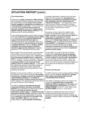### **The United States**

Following the **highly contentious 1996 elections**, there emerged a tentative political consensus that the United States had **no choice but to remain heavily engaged in maintaining a semblance of "international law and order."** At the same time continued public **concerns about acute U.S. domestic problems** appeared to **weigh heavily against seeking costly military solutions** to the evolving menu of security problems.

In this challenging political context there emerged in 1997 **the Consortium for Planetary Peace (CPP),** an unusual grass roots **political coalition with support from both the left and right** and organized around the twin propositions that: (1) it was **not in the U.S. national interest to become "a global policeman"** and (2) **"modern conflict resolution and communications methods" should be aggressively employed** as flagship elements of U.S. international security policy.

With support from a broad range of existing peace, human-rights, environmental, and other activist groups, the CPP grew quickly with a **"start in your own international neighborhood" organizing theme**--using the Internet to organize a wide range of U.S., Canadian, and Mexican NGOs to **focus a coordinated effort on the continued acute political unrest in southern Mexico.** In late 1998 the organization gained considerable prestige by facilitating a widely hailed "peace agreement" between the Mexican government and the "Third Zapatista Revolution."

Building on the success in Mexico, the CPP over the past year and a half has become **increasingly involved as a mediator and Internet organizer of "peacemaking coalitions" in a number of regional and other conflicts around the world** (in which capacity it has developed substantial informal ties with the Islamic CIRD coalition).

In 1998 the **charter of the National Security Telecommunications Advisory Committee (NSTAC)** was expanded from telecommunications matters **to include all national security information system issues.** A **Network Security Steering Committee (NSSC)** established within the NSTAC was given the responsibility of choosing those **elements of the NII to be included in the initial "two MRC" MEII** with a continuing responsibility for **assessing MEII vulnerability.**

A parallel organization created at the same time within the JCS oversees the **development of offensive and defensive operational concepts and campaigns and new requirements for "electronic weapons."** This organization works with the various unified commands to develop Radio Electronic Combat or IW planning annexes for the CINCs' CONPLANs for various contingencies.

Increasing concerns about the viability of the nuclear non-proliferation regime led in 1998 to **major revisions in U.S. force structure plans to make room for a package of counterproliferation initiatives** which included: (1) A crash effort on the **Theater High Altitude Air Defense (THAAD)** system, (2) Extensive overseas sales of **Patriot/ERINT** and **Standard** anti-tactical missiles, and (3) Accelerated development of **longendurance unmanned air vehicles (UAVs)** and a companion program of multi-mission **unattended ground sensors (UGS).**

In late 1999 in the wake of the French AirBus incident **U.S. commercial aircraft companies initiated a survey of the software in the flight control systems of aircraft under development** to insure software system integrity**.** Other than some minor software code errors, nothing was found--but there emerged a heightened vigilance in the commercial aircraft sector to protect these systems.

### **Persian Gulf Security**

In 1999 in the face of Iran's growing political military power, the **U.S., France, and the U.K. updated their military agreements with the Gulf Coordinating Council (GCC).**

The military contingency plans for the region now include the **prepositioning of substantial additional military equipment in the region** and **rapid deployment commitments** code-named **GREEN HORNET** for the U.S. (see Table 1) and **SILVER SABRE** for the U.K. and France.

A British air mobile/motorized and a French air mobile/motorized division along with several squadrons of tactical fighter aircraft constitute the principal European military components of **SILVER SABRE**.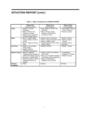|                            | <b>Phase One</b>                                                                                                                                                               | <b>Phase Two</b>                                                                                                                                         | <b>Phase Three</b>                                                                         |
|----------------------------|--------------------------------------------------------------------------------------------------------------------------------------------------------------------------------|----------------------------------------------------------------------------------------------------------------------------------------------------------|--------------------------------------------------------------------------------------------|
|                            | <b>Deterrent Phase</b>                                                                                                                                                         | <b>Initial Defense</b>                                                                                                                                   | <b>Full Capability</b>                                                                     |
| Army                       | • Deploy 2 THAAD<br>battalions<br>• Place 3 Phase Two<br>Divisions on Alert<br>• Deploy Army equipment<br>set from Diego Garcia                                                | • Fully deploy 3 Phase Two<br><b>Divisions</b><br>• Place 4 Phase Three<br>Divisions (3 CONUS/1<br>Europe) on Alert                                      | • Fully deploy 4 Phase<br><b>Three Divisions</b><br>• Reserve call-up                      |
| <b>Navy</b>                | • Move 1 Carrier Battle<br>Group (CBG) to Gulf of<br>Oman<br>• Move 1 Aegis to Persian<br>Gulf                                                                                 | • Deploy CBG to Red Sea<br>• Move 1 Aegis to Persian Gulf<br>• Move 2 Aegis to Med<br>• Partial Ready Reserve Fleet<br>(RRF) call-up                     | • Deploy 3 CBGs<br>• Move 6 Aegis to<br>Theater<br>• Reserve call-up<br>$\bullet$ Full RRF |
| <b>Air Force</b>           | • Deploy 1 Air Combat<br>Wing (ACW)<br>• Deploy AWACS,<br>JSTARS, intel aircraft                                                                                               | • Deploy 3 ACWs                                                                                                                                          | • Deploy 7 ACWs                                                                            |
| <b>Marine Corps</b>        | • Deploy 1 Maritime<br><b>Prepositioning Squadron</b><br>(MPS) from Diego Garcia<br>• Off load in-Theater MPS<br>• Airlift associated CONUS<br>brigade personnel to<br>theater | • Deploy 2 MPS from Atlantic<br>and Pacific<br>• Marry up 2 CONUS brigades<br>w/in-theater MPS equipment<br>• Deploy 2 amphibious<br>brigades from CONUS | • 2 amphibious<br>brigades in Theater<br>• Reserve call-up                                 |
| <b>Time to</b><br>Complete | 7 Days                                                                                                                                                                         | 21 Days                                                                                                                                                  | 60 Days                                                                                    |

### **Table 1. Major Components of GREEN HORNET**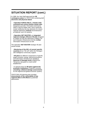In 1998, the Joint Staff approved two **IW contingency plans** for CENTCOM combining both **electronic and physical attack**:

**• Operation FORCE FIELD--**a **theater-wide command and control warfare master plan** designed to provide "information dominance within a 500 km battle cube" and in particular render ineffective the key elements of a future regional opponent's **tactical** reconnaissance, air defense, and C3I systems.

**• Operation NET MASTER--**an **integrated regional strategic offensive IW plan** designed to cripple not only the adversary's military C3I and computer infrastructure but the **civilian** information infrastructure as well.

The Operation **NET MASTER** strategic IW plan would include:

• **Monitoring of the NII's of several specific countries** by an "IW cell" within the Pentagon with intelligence community support.

• **IW plans** for different components of specific target countries' energy, telecommunications, and information infrastructures **across a spectrum of damage levels** ranging from "temporary disruption to multi-month disablement."

• A special annex for **IW plans against the economic institutions** of specific countries (**including collateral damage assessments** for the regional and global economic system).

CENTCOM's IW planning also included **assessments of the vulnerability of key regional allies to IW effects** by potential adversaries.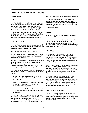#### **THE CRISIS In Caracas** On **May 4, 2000, OPEC ministers met** in Caracas to review production and pricing policy. **Iran, Iraq, Libya, and Algeria were promoting a major cutback in production** with a goal of driving the price to "at least \$60 (FY-95 dollars) a barrel." The Caracas **OPEC meeting ended in total failure** and disarray after three days of tense discussions marked by a final televised **shouting match between the Iranian and Saudi oil ministers. In the Persian Gulf** On May 7 Iran announced that it would soon begin conducting **"military exercises appropriate to the evolving security situation in the Gulf."** On May 8 the Saudi ruler called in the U.S. Ambassador and expressed **his deep concerns about the Iranians** whom he feared might use the OPEC stalemate as **an excuse for "a move of greatness" in the Gulf.** On May 10, Tehran radio and television announced that the **Iranian Foreign Minister was flying to Riyadh with an "urgent proposal"** that would "resolve the OPEC stalemate" and "respond to the evolving security situation in the region." On the evening of May 10, the U.S. Ambassador to Saudi Arabia reported on the contents of the Iranian "proposal:" **• Iran, Iraq, Saudi Arabia and the other GCC states** should immediately **cut oil production by 20 percent**. • The **GCC states** should **annul their military agreements with the U.S.** and declare "neutrality" or non-alignment. • In return Iran would declare the GCC states to be under **"a new Iranian Persian Gulf security umbrella."** The next day, May 11, U.S. intelligence detected the **preliminary mobilization of three of the six Iranian divisions located near Dezful in southwestern Iran**, including the mobilization of several regiments of heavy equipment transporters designed to rapidly move heavy armor and artillery. At 2030 local time on May 11, **Saudi Arabia** ordered the **redeployment of one armored division** toward its border with Iraq and a **partial mobilization** of selected reserve elements. Two hours later **Kuwait** placed its army and reserves on a higher level of alert. **In Egypt** Later that night, **90% of the power in the Cairo area went out for several hours**. In a message to the Secretary of State the U.S. Ambassador in Cairo noted that there was considerable **uncertainty** about whether the blackout was the product of **"deliberate sabotage or just Egyptian bad luck." In Washington** On the evening of May 11 the White House Situation Room received a message from the National Communications Center (NCC) indicating that **the public switched network for Northern California and Oregon had suffered a series of massive failures.** The NCC also reported that, nearly simultaneously, the **base phone system in Fort Lewis, Washington had been subjected to a mass dialing attack** by personal computers--apparently orchestrated via the Internet--which paralyzed phone service for several hours. On the PSN problem the NCC had "preliminary indications" that **a hidden "trap door" had apparently been placed into the latest release of code controlling the switching centers of the PSN.** The source of this problem was unclear although **a radical anti-interventionist group claimed responsibility** on the Internet. **In the Persian Gulf Region** At 0500 local time in the Gulf on May 12 (2200 EDT on the 11th), **two Saudi missile gunboats were fired upon by Iranian warships** discovered on an apparent intelligence collection mission off the coast of Al Jubayl.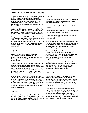Twelve Saudi F-15s arrived on the scene in minutes and in the ensuing battle **both of the Saudi gunboats and three Iranian ships were sunk**. Minutes later fifteen Iranian MiG-29s and 31s arrived and in the air battle that followed **nine Iranian aircraft were downed at the cost of five Saudi F-15s.** At 0630 local time on the 12th, **a S-3B Viking** from the CBG Ronald Reagan was **fired upon by an Iran missile frigate** while conducting a maritime surveillance mission **over the Straits of Hormuz.** Thirty minutes later, **F/A-18s and F/A-14s from the Reagan found the frigate** some fifteen miles south of Bandar Abbas. The USN aircraft were **confronted by eight Iranian MiG-29s.** During the short air battle **three MiG-29s were shot down and the frigate was sunk** after receiving three Harpoon missile hits. **In Saudi Arabia** At 1100 local time on May 13, **the largest ARAMCO refinery near Dhahran had a catastrophic flow control malfunction** which led to a **large explosion and fire** at a brand new cracking tower. This event was followed by a **"war communiqué" from a radical Islamic group linked to Iran** asserting that "the enemies of the true faith of Islam were vulnerable to the full range of Islamic might." The statement concluded with the **threat that the economy of the Saudi Kingdom "could be brought to its knees with the touch of a button."** In a memcon to the Secretary of State, the U.S. Ambassador to Saudi Arabia warned that **the Saudi elite was "horrified by the prospect that Iran might have the capacity to severely disrupt their economy without firing a shot"** and beginning to express **concerns that the United States may be In Tehran U.K., and France** calling for: sides. **by "foreign forces"** in the region. Iran's making." **Persian Gulf region." weapons systems." exoatmospheric penetration aids**. **In Maryland**

#### **In Moscow**

**to this new threat."**

At a news conference late on May 13 the Russian Foreign Minister called on the **UN Security Council to "immediately seek to mediate a settlement to the escalating crisis"** in the Persian Gulf.

**"unable to help the Saudi government respond**

At 0730 local time on May 14 (0030 EDT) **Iran** sent **messages to the GCC members, the U.S., the**

**•** A **cease-fire in place** of all forces on both

**•** An **immediate freeze on further deployments**

**•** An **immediate summit at a neutral site** to discuss "a peaceful resolution of a crisis not of

The notes closed by stating that **"if there were not a positive response within 12 hours"** Iran would be **"forced to take actions consistent with its security rights and responsibilities in the**

The notes to the leaders of Kuwait and Saudi Arabia also included a separate and explicit message that Iran would soon **"demonstrate the futility of depending upon the American imperialists for protection from modern**

Early that afternoon local time, **Iran fired three Nodong I MRBMs** virtually simultaneously from a field site south of Tehran. Two of the three successfully deployed **previously unseen**

At 1812 EDT on May 14, the **new high-speed Metro-Superliner traveling at 300 km/hr slammed into an apparently mis-routed freight train** near Laurel, Maryland.Maryland State Police estimated that the train wreck had killed over 60 passengers and crew and critically injured another 120 persons.

Within three hours, the National Transportation Safety Board (NTSB) chief investigator notified the Secretary of Transportation that there was **"clear evidence" that the freight train had been misrouted onto the Metroliner track with "some evidence" pointing to a sophisticated intrusion into the East Coast rail control system.**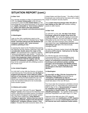#### **In New York**

At a mid-day reception on May 15 sponsored by the CPP, the **Iranian Ambassador** to the UN was overheard to state that **the United States** as "the technologically most advanced power on the planet" was **highly vulnerable to "21st Century attacks"** by **"states and others who had mastered contemporary computer and telecommunication technology."**

### **In Washington**

Later on the 15th a preliminary report on the Metroliner crash by the DCI indicated that **a "logic bomb" had been placed into the Northeast rail computer systems, with "some tenuous evidence pointing to Iran."**

In passing the report to the President that evening the National Security Advisor noted that "NSA had **considerable doubts about the origin of the attack"** and questioned Iran's capacity to deploy "advanced polymorphic logic bombs." Further, he noted **that the FBI's Domestic Counter-terrorism Center was preparing a report voicing the strong suspicion that the tragedy was the product of a domestic conspiracy** which "may or may not be connected with the unfolding events in the Persian Gulf."

### **In the United Kingdom**

At 1100 GMT on the 16th the Director of Scotland Yard informed the Prime Minister that **the Bank of England had detected "three different sniffer devices of new design in its main funds transfer system"** and that the Bank leadership was very fearful that unauthorized individuals could now enter the heretofore believed to be invulnerable funds transfer system.

#### **In Atlanta and London**

A few hours later CNN and ITN aired **"Special Report" stories** which featured the Metroliner train wreck in Maryland and leaked reports of problems with the Bank of England's funds transfer system. The CNN report stated that **"some Western intelligence agencies" believe that Iran may be employing computer experts from the Russian Mafiya and** "**renegade software writers" from India** to "threaten the entire economic fabric of the

United States and West Europe." The effect of both broadcasts was reinforced by interviews with a wide range of computer security experts.

The **London Stock Exchange Index fell 10% in late trading on the 16th** with investors shifting assets to safer havens.

### **In New York**

At 1430 EDT on the 16th, **the New York Stock Exchange suffered its largest drop since the crash of 1987.** Even with the tripping of automatic exchange restraints, the Dow had fallen by nearly 200 points by the end of the day's trading. Analysts on CNBC and other business news networks speculated that major **institutional investors were attempting to get out** of the electronically managed market.

At 1500 the oil futures market closed with **the spot oil price at \$75 a barrel. Gold prices for the day were up ten percent.**

At 1700 the Security and Exchange Commission(SEC)'s crisis investigating team informed the Secretary of Commerce that **"a pattern of institutional investment manipulation involving as yet unknown parties working through a set of European and Middle Eastern Banks"** had been **"a leading factor in the rapid acceleration in the Dow's mid-afternoon decline."**

#### **In Washington**

**At noon EDT on May 17th the Consortium for Planetary Peace (CPP)** announced that an "**emergency mobilization to stop an unnecessary and potentially devastating war"** would take place in the next 48 hours.

Two hours later the Consortium submitted a formal request to the U.S. Park Police for a permit for the Mall for May 21 for a "**demonstration of support for mediation and opposition to U.S. intervention in Saudi Arabia" for "an estimated 100,000 participants."** By nightfall similar permits had been requested in ten other major U.S. cities.

Approval of the Mall and other CPP requests seemed certain and **mobilization of CPP chapters began to** occur through **communiqués sent over the Internet and more traditional media outlets.**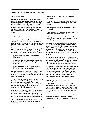#### **In the Persian Gulf**

Early in the evening on the 18th after receiving reports on **further massing of Iranian armored forces for possible entry into southern Iraq**, increased Iranian naval activity near the Straits of Hormuz, and an Iranian "strategic alert," **USCINCCENT** sent a **message recommending the immediate execution of Phases I and II of the GREEN HORNET deployment plan for the Gulf.**

#### **In Washington**

An **emergency NSC meeting** was convened at 1500 EDT on the 18th to address USCINCCENT's recommendation and other military, diplomatic, and political issues related to the evolving Gulf crisis.

The meeting opened with an intelligence briefing by **the DCI** who noted that in terms of Iranian IW capability there was **"at this time no way of knowing for sure whether what we are seeing is:**

**(1) Iranian testing of their strategic IW capability,**

**(2) the beginning of an Iranian IW campaign to derail anticipated U.S. Gulf deployment plans, or**

**(3) most of what we can expect from an Iranian strategic IW campaign."**

He also emphasized the added complication that **anti-interventionist domestic political groups** in both the U.S. and Europe **could be behind many of the IW incidents.**

The CJCS Chairman immediately emphasized that the **Time Phased Force Deployment List (TPFDL) for GREEN HORNET was very dependent on the ability to meet "a host of justin-time logistic timelines" and would not tolerate "any significant disruption."**

In the highly speculative discussion that followed it was clear that in spite of "some circumstantial evidence" pointing to Iran **there remained considerable uncertainty about the extent of Iranian involvement in the recent IW incidents.**

After further reviewing the various issues on the table, the **President** announced the following **decisions**:

**•** Execution of **Phases I and II of GREEN HORNET.**

**•** Deployment of one-half all available CONUSbased **ATBM battalions to Egypt and Saudi Arabia.**

**•** Immediate convening of the **North Atlantic Council.**

**• Rejection** of any **diplomatic initiatives** at this time with: **(1) Iran or (2) the CIRD.**

• Congressional approval of his actions should be sought in **a resolution to be introduced in the Congress on the 19th.**

The President then indicated that he wanted the NSC to **"return later to give more time to IW issues."** He requested that **another full meeting of the NSC** take place **three hours hence** to **"make a set of IW decisions consistent with going forward with GREEN HORNET"** including dealing with "the deteriorating IW security situation at home."

The President admonished the NSC Advisor and the Press Secretary to **"keep the lid on very tight and downplay speculation" regarding the extent of possible U.S. vulnerability to IW attacks and the origins of the attacks experienced to date.**

He expressed particular concern that **decisions on the crisis could be made even more difficult** if there were public panic growing out of **"media hyping of the IW attack and attributing most of the actions to Iran when it might well be that much of the problem is coming from antiinterventionist forces in the United States."**

#### **In Washington, London, and Paris**

At 1630 EDT on the 18th at a **trilateral video conference** between the President, the British Prime Minister, and the President of France it was agreed that the U.K. and France would join in the U.S. response to the crisis and **execute SILVER SABRE.**

It was also agreed that the three countries should keep each other **fully informed of further developments in terms of possible IW attacks.**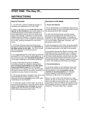### **STEP ONE: The Day Of...**

### **INSTRUCTIONS**

### **How to Proceed**

1. You will have a total of roughly 50 minutes to complete your deliberations on STEP ONE.

2. Keep in mind that you are **in the role of a top advisor to the President** of the United States or to a National Security Council (NSC) principal in a group deliberative process akin to a classic timeurgent "pre-meeting" in advance of a formal NSC meeting with the President. The group's task is to revise a draft memo to the President in preparation for an NSC meeting scheduled for a few hours hence.

3. The Chair will lead a discussion that moves through the tasking described in the **Decisions to Be Made section to the right.** The Chair should ask one participant to record the group's recommendations.

4. It is suggested that the Chair begin by asking for participants in her/his group to very briefly (e.g., in a few sentences) give their **individual perspectives** on the basic challenge in the situation presented.

5. Keep in mind that the group is not being convened primarily as a decision-making body; **your principal responsibility is to craft a good issues and options memo** for the President. Nevertheless, as is always the case, the President will want to know if there is any group consensus on a preferred course of action on any issue.

6. The group's decisions (changes to the memo and recommendations where consensus can be achieved) should be **recorded** on the STEP ONE "Draft Memo for the President."

7. In noting the results of STEP ONE, the Chair of each group should keep in mind that she/he will be asked to **summarize very concisely** the group's deliberations and decisions on STEP ONE and STEP TWO at the end of STEP TWO.

### **Decisions to Be Made**

### **I. Issues and Options**

You are responding to a Presidential request to lay out the full range of issues and options that need to be addressed at the NSC meeting.

An NSC-led Working Group has been quickly convened and prepared the Draft Memo for the President on the following pages. It provides an initial cut at what might go forward to the President on a set of military, diplomatic, domestic, and declaratory policy issues.

Under the guidance of the Chair, the group should discuss this Draft Memo and expand and modify it as judged appropriate in the light of the situation.

In proceeding through the different sections of the Draft Memo (which can be taken up in a different order than that presented if the Chair so desires) the Chair should ascertain whether there are other critical issues beyond those presented on which Presidential decision-making is needed at this point in time--and modify the Draft Memo accordingly.

### **2. Recommendations**

As the group settles on the individual issues and options to go forward to the President, the Chair should attempt to see **if consensus can be reached on recommendations** on individual issues--keeping in mind that at this point a consensus on all issues is not expected.

When it is clear to the Chair that there is a clear division of view on some issue, vote on the options still on the table and record the vote. In general, expect that on the most difficult and divisive issues the President will have to make the decisions in a traditional "The Buck Stops Here" capacity.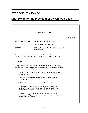# **STEP ONE: The Day Of...**

### **Draft Memo for the President of the United States**

|                                       | THE WHITE HOUSE                                                                                                                                                                                   |             |
|---------------------------------------|---------------------------------------------------------------------------------------------------------------------------------------------------------------------------------------------------|-------------|
|                                       |                                                                                                                                                                                                   | 18 May 2000 |
| <b>MEMORANDUM FOR:</b>                | The President of the United States                                                                                                                                                                |             |
| FROM:                                 | The National Security Advisor                                                                                                                                                                     |             |
| <b>SUBJECT:</b>                       | NSC Meeting on Persian Gulf Crisis - Information<br><b>Warfare Issues</b>                                                                                                                         |             |
|                                       | As you have requested, this NSC meeting will focus on the key information<br>warfare (IW) issues that have emerged in the ongoing Persian Gulf crisis.                                            |             |
| <b>OBJECTIVES</b>                     |                                                                                                                                                                                                   |             |
| in this situation in terms of IW are: | Based on the discussion and decisions at the NSC Meeting earlier today, it<br>would appear that the principal <u>long-term</u> objectives of the U.S. and its allies                              |             |
|                                       | • Demonstrate U.S. ability to detect, assess, and effectively defend                                                                                                                              |             |
| against IW attacks.                   |                                                                                                                                                                                                   |             |
| experiencing.                         | • Deter future strategic IW attacks of the kind that we appear to be                                                                                                                              |             |
|                                       | Our short-term objectives in terms of IW would appear to be:                                                                                                                                      |             |
|                                       | • Enhance the prospects that the Saudi government will survive the<br>combined threat (including the new IW elements) posed by the<br>internal dissident movement and Persian regional ambitions. |             |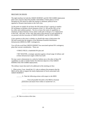#### MILITARY IW ISSUES

The tight timelines for both the GREEN HORNET and SILVER SABRE deployment plans raise concerns about the possible vulnerability of these plans to severe disruption by IW attack by either the Iranians or domestic political forces opposed to Western intervention in the Gulf crisis.

As this point we simply do not know the full extent of Iran's capacity to employ IW techniques to threaten critical elements of the U.S. NII and the NII's of our key allies and coalition partners. Nor do we know the extent of capabilities or intentions of those domestic forces which could seek to disrupt a U.S. deployment to the Gulf. (We may, in fact, only find some of the answers to such questions as we proceed with the execution of GREEN HORNET and SILVER SABRE.)

A key question at this time is whether we should take steps to help protect the NII and in particular the integrity of the Minimum Essential Information Infrastructure (MEII) for MRC contingencies.

You will also recall that GREEN HORNET has associated optional IW contingency plans that warrant consideration. These are:

- FORCE FIELD, a battlefield IW plan and
- NET MASTER, a strategic operation against a broad range of military and civilian infrastructure targets within Iran itself.

We may want to demonstrate in a selective fashion one or the other of these IW capabilities in order to further bolster the deterrent objective of the GREEN HORNET/SILVER SABRE deployments.

The military issues that need to be addressed at this meeting are thus:

1. What action, if any, should the U.S. take to enhance the prospects that the MEII will be able to support the timely deployment of forces associated with GREEN HORNET?

A. Take the following actions with respect to the MEII:

 Close all possible firewalls to the MEII to frustrate penetration and attack from within or outside the U.S..

B. Take no action at this time.

 $\overline{a}$ 

 $\overline{a}$ 

 $\overline{a}$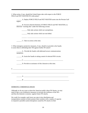2. What action, if any, should the United States take with respect to the FORCE FIELD and NET MASTER IW strike plans?

> A. Deploy FORCE FIELD and NET MASTER assets into the Persian Gulf region.

 B. Execute selected elements of FORCE FIELD and NET MASTER as a deterrent "warning shot" under the following caveats:

Only take actions which are surreptitious.

**COLEGAL** Only take actions which are non-lethal.

C. Take no action at this time.

 $\overline{a}$ 

3. What emergency protective measures, if any, should we provide to the Saudis to assist them in defending their NII against further IW attack?

 A. Provide the Saudis with dedicated secure communications equipment.

B. Assist the Saudis in taking control of selected PSN circuits.

<u>C. C. Provided by the contract of the contract of the contract of the contract of the contract of the contract of the contract of the contract of the contract of the contract of the contract of the contract of the contrac</u>

D. Provide no assistance of this character at this time.

4.  $\overline{a}$  A.  $\qquad \qquad \mathbf{B.}$ 

#### DOMESTIC CYBERSPACE ISSUES

Although we do not want to alarm the American public about IW threats, we may need to take a set of defensive measures to increase the resilience of the NII- and thus the domestic economy--against future IW attacks.

We could, for example, seek lower use rates in key distribution and transportation systems to better posture these systems with a surplus of capacity to respond to possible system disruptions caused by IW attacks on their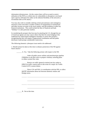information infrastructures. (In this context there will be no need to restrict utilization of the PSN as a whole since its vulnerability to disruption is not based upon capacity utilization but rather on the inherent flexibility of the network to reconstitute after an IW attack.)

You may also wish to consider ordering certain precautionary and contingency measures in the event there is further evidence of manipulation of institutional and other investor accounts in the stock market--and like problems in other key financial institutions. This could include the likes of financial and bank "holidays" to calm particular markets.

In considering the prospect that Iran may be attacking the U.S. through the use of American agents you may want to direct that there be some bridging of the traditional law enforcement-intelligence boundary to assess this prospect- recognizing that this will require Congressional coordination and that public disclosure could prompt considerable controversy.

The following domestic cyberspace issue needs to be addressed:

1. Should actions be taken at this time to enhance protection of the NII against future attacks?

A. Yes. Take the following actions with respect to the NII:

 Order all public power utilities and petroleum/gas pipeline companies to ask their users to prepare voluntary rationing plans to reduce system flow rates.

 Restrict air traffic (general aviation) into key nodes to reduce air traffic control stress in the event of a major Air Traffic Control (ATC) system failure.

 Direct CIA and NSA, in coordination with the FBI, to collect specific information about ties between domestic entities and foreign actors.

B. Not at this time.

 $\overline{a}$ 

 $\overline{a}$ 

 $\overline{a}$ 

 $\overline{a}$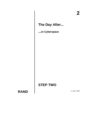# **The Day After...**

**...in Cyberspace**

# **STEP TWO**

**RAND** 3 June 1995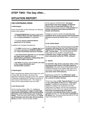### **STEP TWO: The Day After...**

### **SITUATION REPORT**

### **THE CONTINUING CRISIS**

#### **In Washington**

At the second May 18 NSC Meeting, the following actions were agreed:

- **Forward deployment** of assets associated with **FORCE FIELD and NET MASTER** but for now **no demonstrations** of capabilities.
- Providing **secure communications equipment to the Saudis.**

In addition the President decided that:

**•** The **MEII** should move to a **higher alert** level **"to insure execution of GREEN HORNET"** and "**close all possible electronic firewalls."**

**• Law enforcement agencies** should **not take any legal action against any U.S. organizations potentially collaborating with Iran or the CIRD at this time.**

**• No effort** should be made **to lower use rates in key energy distribution and transportation systems.**

### **In Washington**

After a tempestuous debate which lasted until 1225 on May 20th, the Senate in the face of an aggressive lobbying campaign by the CPP, passed a resolution supporting the President's decision to send troops to the Persian Gulf. The margin of victory for the Administration was two votes.

### **In the Persian Gulf**

On the morning of May 20th U.S. intelligence detected **the massing of a range of small high speed boats and landing craft several hundred kilometers north of the Iranian port of Bandar Abbas.** There was also clear evidence of a **buildup of helicopter and short take off and landing (STOL)** aircraft in several nearby airfields.

At the urging of USCINCCENT, **the Saudi government sent three brigades of National Guard units to King Khalid Military City**--a controversial decision because of **the prospect of further anti-government demonstrations in Riyadh and Dhahran.**

Intelligence reports indicate that **Iran has now mobilized all six of the armored and mechanized divisions around the Dezful area** in southwestern Iran.

### **In the United States**

On the morning of May 20 DoD discovered that **the computer data base for the Time Phased Force Deployment List (TPFDL) had become plagued with "corrupt data."** The JCS IW planning cell's initial report on the problem indicated that **a computer worm--origin uncertain--had likely been unleashed inside the TPFDL software.**

### **In Atlanta**

**At 1210 EDT, May 20 the automatic tellers of the two largest bank chains in Georgia started to malfunction** with bank clients being debited and/or credited thousands of the dollars after each ATM transaction--leading the banks in mid-afternoon to **shut down their ATM networks**.

Beginning at 1225 EDT, the **CNN news center feed out of Atlanta was intermittently off the air for a period of twelve minutes.**

Three hours later **a CNN "Special Report"** focused on **the vulnerability of the U.S. to "cyberspace warfare"--**dwelling on the Metroliner crash, the telephone outage in the Northwest, the ATM malfunctions in Atlanta, and the still-unexplained interference with CNN's own signal transmission. **Interviews accompanying the program conveyed a seeming growing sense of public concern** that the U.S. was **far more vulnerable to IW attack** than "the government has told us" in one angry interviewee's words.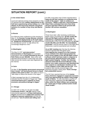#### **In the United States**

Local and national evening news programs on May 20 reported that **U.S. military deployments to the Gulf were experiencing serious delays** due to **IW attacks on the local area networks and phone systems of a number of key Army and Marine bases.**

### **In Russia**

At a Moscow news conference on the morning of May 21, the **Russian Foreign Minister criticized U.S. and allied deployments to the Gulf region as "dangerous brinkmanship"** but offered to host an international summit "to help defuse the increasingly dangerous crisis."

### **In Washington**

The May 21 CPP "**anti-intervention" demonstration in Washington** far exceeded expectations with **a crowd estimated by the U.S. Park Police at over 400,000.** Many other wellattended demonstrations in both large and small cities across the country were also organized via the Internet.

### **In Cairo**

On May 22 **the Egyptian government announced that it would "not send ground forces to Saudi Arabia at this point in time"** and called on Iran to "take steps to reduce the tension in the region."

A flash message from the U.S. Ambassador indicated that the President of Egypt was **"very concerned about Iran's capacity to cause economic and political damage in Egypt."**

### **In Chicago**

At 1944 CST on May 22, the pilot of **a new Continental Airline's AB-340** making a final instrumented approach to **O'Hare International Airport** reported that his **flight deck avionics had suffered a massive malfunction** and that the aircraft was **"out of control and rolling over."**

At 2005, local police near O'Hare reported that **a large aircraft had crashed in a residential area south of the airport "with no evidence of survivors." Within a half hour, local and Illinois State Police estimated that more than thirty persons had been killed on the ground with another 100 serious casualties.**

### **In Washington**

Three hours later--after receiving a preliminary British report concluding that **"all late model AB-340 and 330 flight control software may be infected by a sophisticated logic bomb"**--the Administrator of the FAA recommended that **all late model AB-340s and AB-330s "be immediately grounded"** until the precise nature of the flight deck malfunction could be ascertained and remedied.

**At an NSC meeting** later that day the Attorney General reported that FBI agents were **interrogating two suspects at a San Antonio, Texas software firm which had provided the most recent update of the AB-340 flight control software which had been made in response to the previously detected threat to the AirBus fight system integrity. Further, the Attorney General noted that the French Minister of the Interior via a video conference had identified the two suspects as clandestine members to the Texas chapters of the CIRD and the CPP.** Both suspects had recently received large cash payments through a Swiss bank **"from a foreign but unidentified source."**

The DCI then reported that two of the **Iranian heavy divisions engaged in supposed exercises were now approaching the Islamic Unity bridge south of Basra.** He also described a number of NSA intercepts suggesting that **the CIRD and allies within the Saudi military were preparing for "some type of major political action inside Saudi Arabia."**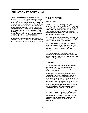At this point **USCINCCENT** on a secure video hookup spoke up and voiced **"deep concern about remaining passive at this juncture."** He noted that "at any minute" **Iranian ground forces could** cross into Iraq or those Iranian naval, amphibious, and other units massing north of Bandar Abbas could move against Saudi Arabia. Should either situation emerge, he requested that he be given prior **authority to launch: (1) Operation IRON LANCE,** an all-out **preemptive air and missile strike against both Iranian force components** and (2) **major elements of FORCE FIELD.**

**A highly contentious debate followed** but no decision taken on USCINCCENT's request prior to the President having to leave for another meeting.

### **THE DAY AFTER**

### **In Saudi Arabia**

At 1920 local time (1220 EDT) on May 23, the news anchors of the two Saudi government TV networks were **suddenly replaced by the face of the head of the CIRD Council** who called on the citizens of Saudi Arabia **"to join forces in the peaceful transformation of the Saudi kingdom to freedom and democracy under Islam."**

This pre-arranged signal quickly led to **large scale demonstrations against the Saudi monarchy in Riyadh, Jiddah, Mecca, and Dhahran.**

At 1957 local time (1257 EDT) **the Saudi public switched network began to fail apparently due to** unauthorized **modification of the system through "trap doors" in the logic controlling its switches.**

U.S. experts assisting the Saudi government reported that the trap doors appeared to be **"very similar to those found earlier in the failure of the California-Oregon PSN."**

#### **In Dhahran**

At 2005 local time, the **local television station announced that the "Provisional Islamic Republic of Arabia" had now seized power in Dhahran and Mecca.**

Following this announcement, a self-described "**new military governor of Dhahran"** appeared and announced that "all Arabian citizens and members of the armed forces" should be prepared to **"welcome their Persian brothers who would soon arrive** to assist in the transformation to a new Islamic democracy in Saudi Arabia." He went on to state that **Iranian military assistance "would be immediately halted if foreign nations let the Arabian revolution proceed on its own."**

Ten minutes later **the commanding general of the U.S. 82nd Airborne Brigade**--on the ground at Dhahran international airfield with two battalions- was ordered by CINCCENT to **refrain from any action other than to maintain control of the airfield** while he "sought guidance from Washington."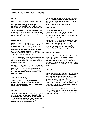### **In Riyadh**

At 2130 local time **i**n Riyadh **heavy fighting** broke out **between security police** near the King's Palace **and a column of National Guard motorized infantry which had pledged their loyalty to the new Provisional Islamic Republic.**

An hour later the U.S. Ambassador reported that fighting was spreading rapidly throughout the city and that **"a coup attempt was underway with the location of the King unknown."**

### **In Washington**

At 1610 local time in Washington the Secretary of Defense was informed by the CJCS that **"a fullscale IW attack by unknown sources"** was underway **at "almost every military base in the United States and Europe involved in GREEN HORNET and SILVER SABRE"**--with deep concern as to whether the MEII here and in Europe "can withstand the ongoing assault."

The CJCS expressed "the hope" that a **preliminary assessment of the impact** of this IW campaign would be **available within a few hours** "though it could be much longer."

He also **described the TPFDL as "a goddamned mess"** and said that the Joint Staff was "frantically trying to patch together a new deployment plan." He admitted, however, that he **"had no idea just what kind of GREEN HORNET schedule was now achievable."**

### **In the Persian Gulf Region**

At 2300 local time in the Gulf (1700 EDT), **USCINCCENT** cabled that **"the movement of Iranian forces across the Gulf toward Dhahran appeared to be imminent."**

### **In Atlanta**

At a news conference held at the CNN news room, the members of the **"Executive Council" of the Consortium for Planetary Peace denounced the "criminal action which led to the AirBus tragedy at O'Hare." but concluded that "legitimate protest should not be quashed by**

**the terrorist acts of a few" by announcing** that the CPP was **"mobilizing all of its chapters to conduct civil disobedience actions** to stop the U.S. Government's mad dash to war to save an undemocratic and failed Saudi regime."

### **In the Persian Gulf**

At 0200 local time on May 24 USCINCCENT reported to the CJCS that **"several JSTARS aircraft operating in the Gulf region appeared to be plagued with a computer worm triggered by some external source."**

At 0600 CINCCENT reported that **Saudi loyalists had regained control of Mecca and most of the city Riyadh.** Military units supporting the Provisional Islamic Republic and their supporters had at this point **withdrawn to the northern suburbs "but probably only temporarily."**

### **In Savannah, Georgia**

The **Coast Guard and local police at Savannah harbor had to use fire hoses to break-up a flotilla of sailing and power boats which were attempting to "blockade" the sealift ship USS Bob Hope f**rom sailing to the Persian Gulf. Similar **incidents occurred in Galveston and San Diego harbors**.

### **In Riyadh**

At 0700 local time on the 24th the U.S. Ambassador sent a message reporting that **the King and his entourage are voicing confidence that "trends were in their favor"** for regaining control of the domestic situation inside Saudi Arabia but **"immediate and decisive American, British, and French action" would be key to suppressing disloyal army units** and **"keeping the Persians off the Arabian peninsula."**

The Ambassador noted that the situation inside Saudi Arabia appeared to him to be **"much more dicey" than the King and his entourage were prepared to admit.**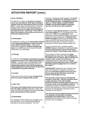### **Dover, Delaware**

At 0630 EST on May 24, **the driver of cement truck was shot dead by USAF police during an attempt crash the main gate at Dover Air Force Base.** Latter reports to the Secretary of Defense from the USAF Chief of Staff indicated that the **incident was part of a larger plan described on the Internet by the "action arm" of the CPP to block the runways to any further use by the C-5 fleet home-based at Dover.**

#### **In Washington**

At 1030 EST on May 24, the **entire phone network in the Washington/Baltimore region including local cellular systems failed.** A preliminary assessment suggested **an attack through trap doors** not unlike those which caused the earlier PSN failure in the Northwest.

### **In Chicago**

At 1330 EDT, **the Chicago Commodity Exchange experienced some of its "wildest fluctuations in history".** Amongst many knowledgeable traders and the leadership of the Exchange, there was **widespread suspicion that "the Exchange was being subjected to a powerful form of electronic manipulation by parties unknown."**

### **In London**

At the close of the spot oil market **on May 24 the price for crude oil topped \$100 a barrel.**

### **In New York**

**The value of the dollar fell by 5 percent versus the Yen, Mark, and Peso** while the London and New York Stock Exchanges fluctuated widely **with both closing down by three percent**.

#### **In Washington**

An emergency NSC meeting was arranged in the late afternoon on the 24th with great difficulty because of the phone shutdown. The JCS

Chairman "regrettably acknowledged" that **the IW campaign in both the U.S. and Europe and in Saudi Arabia had been "remarkably successful" and** that **"further efforts to inhibit GREEN HORNET and SILVER SABRE by domestic sources as well as Iran were expected."**

He painted a **very gloomy picture** of a probable **very slow buildup** of U.S. and allied forces in the region with **"little or no cooperation"** from previously assumed stalwart coalition partners like Egypt and Turkey followed by **"a difficult multimonth campaign** to thwart any immediate Iranian move across the Gulf toward Dhahran while deterring a likely follow-on Iranian invasion of Kuwait and northern Saudi Arabia through Iraq."

The DCI observed that a "probably reliable" **HUMINT source** in Baghdad is reporting that **Iraq has given permission to Iran to move forces across the Islamic Unity Bridge south of Basra.**

The Secretary of State noted that the **Saudi government** had apparently **"lost confidence in the ability of the U.S and its allies to defend the country under current circumstances."** He emphasized that all of these factors **"would provide domestic opponents with a field day in politically opposing aggressive U.S. action in the region."**

**USCINCCENT** noted that it was "still early in the day" and reiterated his request for authority to launch **air operations against Iran if any of its forces move across the Gulf or across the Islamic Unity Bridge into Iraq.**

**The Secretary of the Treasury reminded the members of the NSC, "that the President faced a major domestic crisis with multiple dimensions which included great turmoil in the currency, stock, and commodities markets."** To emphasize his point, he stated that the Secret Service had monitored a "torrent of vitriol and abuse aimed at the Administration and person of the President on the Internet."

**The Attorney General added that there had been "an explosion of anti-Islamic incidents throughout the United States** including the firebombing of the offices of the CIRD in Chicago, Houston, and Los Angeles."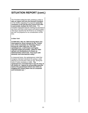The President halted the NSC meeting in order to **take an urgent call from the Russian President** on the Hotline regarding his proposed **cease-fire resolution in the UN Security Council and offer to personally mediate the Gulf crisis.** The President requested that the meeting be resumed in two hours and that a brief issues and options paper "that faces squarely the IW threat to our strategy in the Gulf" be prepared for his consideration at that time.

#### **In New York**

**At 0630 EDT, May 24, CBS Evening News was interrupted for seven minutes by the "Action Arm of the Committee for Planetary Peace". During the video take-over, the CPP spokesperson, a well known and highly regarded media personality, called for widespread civil disobedience to thwart an Administration which had, "lost touch with domestic and international reality."**

In measured tones, the spokesperson noted that Congress had been deceived into giving a carte blanche to an Executive "bent on war" during the Gulf of Tonkin resolution in 1965. **The spokesperson concluded that it was the duty of all citizens to "oppose by all possible peaceful means this government which was intent on dragging the United States into an unwanted and unneeded war ."**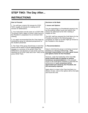# **STEP TWO: The Day After...**

# **INSTRUCTIONS**

| <b>How to Proceed</b>                                                                                                                                                     | <b>Decisions to Be Made</b>                                                                                                                                                                                                                                                                                         |  |  |  |
|---------------------------------------------------------------------------------------------------------------------------------------------------------------------------|---------------------------------------------------------------------------------------------------------------------------------------------------------------------------------------------------------------------------------------------------------------------------------------------------------------------|--|--|--|
| 1. You will have a total of 50 minutes for STEP<br>TWO--roughly 10 minutes for reading and 40                                                                             | I. Issues and Options<br>You are responding to a Presidential request to lay<br>out the political-military issues and options that<br>need to be addressed at the NSC meeting in                                                                                                                                    |  |  |  |
| minutes for deliberations.<br>2. Your instructions are the same as in STEP ONE.                                                                                           |                                                                                                                                                                                                                                                                                                                     |  |  |  |
| The group's task is again to revise a draft memo to<br>the President in preparation for an imminent NSC<br>meeting.                                                       | roughly an hour.<br>The NSC staff has prepared the Draft Memo for the                                                                                                                                                                                                                                               |  |  |  |
| 3. It is again recommended that the Chair begin by<br>soliciting the group for individual perspectives on<br>the situation presented.                                     | President provided on the following pages. It<br>constitutes an initial cut at what might go forward to<br>the President in this situation.                                                                                                                                                                         |  |  |  |
| 4. The Chair of the group should keep in mind that<br>she/he will be asked to devote approximately two                                                                    | 2. Recommendations                                                                                                                                                                                                                                                                                                  |  |  |  |
| minutes to a summary of the group's Step Two<br>deliberations and decisions as part of the summary<br>reporting out (of STEP ONE and STEP TWO) at the<br>end of STEP TWO. | Keep in mind that the group is not being convened<br>primarily as a decision-making body. Your<br>principal responsibility is to craft a good issues<br>and options memo for the President.                                                                                                                         |  |  |  |
|                                                                                                                                                                           | However, under the leadership of the Chair the<br>group should make an attempt to achieve<br>consensus recommendations on the principal<br>issues in the Draft Memo--keeping in mind that the<br>achievement of such consensus will be<br>appreciated and valued by the President, but<br>not necessarily expected. |  |  |  |
|                                                                                                                                                                           | Again when it is clear to the Chair that there is a<br>division of view, vote on the options still on the table<br>and record the vote.                                                                                                                                                                             |  |  |  |
|                                                                                                                                                                           |                                                                                                                                                                                                                                                                                                                     |  |  |  |
|                                                                                                                                                                           |                                                                                                                                                                                                                                                                                                                     |  |  |  |
|                                                                                                                                                                           |                                                                                                                                                                                                                                                                                                                     |  |  |  |
|                                                                                                                                                                           |                                                                                                                                                                                                                                                                                                                     |  |  |  |
|                                                                                                                                                                           |                                                                                                                                                                                                                                                                                                                     |  |  |  |
|                                                                                                                                                                           |                                                                                                                                                                                                                                                                                                                     |  |  |  |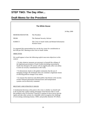# **STEP TWO: The Day After...**

### **Draft Memo for the President**

| <b>The White House</b>                                                                                                                                                                                                                                                                                                                                                                                  |                                                                                                                                     |  |  |  |  |
|---------------------------------------------------------------------------------------------------------------------------------------------------------------------------------------------------------------------------------------------------------------------------------------------------------------------------------------------------------------------------------------------------------|-------------------------------------------------------------------------------------------------------------------------------------|--|--|--|--|
|                                                                                                                                                                                                                                                                                                                                                                                                         | 24 May 2000                                                                                                                         |  |  |  |  |
| <b>MEMORANDUM FOR:</b>                                                                                                                                                                                                                                                                                                                                                                                  | The President                                                                                                                       |  |  |  |  |
| FROM:                                                                                                                                                                                                                                                                                                                                                                                                   | The National Security Advisor                                                                                                       |  |  |  |  |
| <b>SUBJECT:</b>                                                                                                                                                                                                                                                                                                                                                                                         | The Crisis in Saudi Arabia and Related Information<br><b>Warfare Issues</b>                                                         |  |  |  |  |
|                                                                                                                                                                                                                                                                                                                                                                                                         | As requested this memorandum lays out the key issues for consideration at<br>the 8:00 pm NSC Meeting on the crisis in Saudi Arabia. |  |  |  |  |
| <b>OBJECTIVES</b>                                                                                                                                                                                                                                                                                                                                                                                       |                                                                                                                                     |  |  |  |  |
| context:                                                                                                                                                                                                                                                                                                                                                                                                | We would appear to have the following explicit near-term objectives in this                                                         |  |  |  |  |
| • To take whatever measures are necessary to forestall the collapse of<br>the legitimate government of Saudi Arabia (including reassuring the<br>Saudis that disruptive IW actions will not significantly affect our ability<br>to meet our security commitments in the Gulf).                                                                                                                          |                                                                                                                                     |  |  |  |  |
| • To demonstrate clearly to the global community that the use of<br>emerging strategic IW techniques does not constitute a legitimate means<br>of effecting political change in any nation.                                                                                                                                                                                                             |                                                                                                                                     |  |  |  |  |
| • To reassure the American and allied publics that threats to the security<br>of their National Information Infrastructures and transportation<br>systems can be effectively contained.                                                                                                                                                                                                                 |                                                                                                                                     |  |  |  |  |
| MILITARY AND STRATEGY ISSUES                                                                                                                                                                                                                                                                                                                                                                            |                                                                                                                                     |  |  |  |  |
| A fundamental decision at this point in the crisis is whether we should seek<br>to de-escalate this conflict (taking advantage of the Russian offer to work<br>this problem in the UN Security Council) or continue to move forces into the<br>region and take other actions on a timetable which recognizes the challenge<br>of overcoming continuing Iranian, CIRD, and possibly domestic IW efforts. |                                                                                                                                     |  |  |  |  |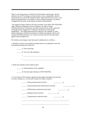There is also the question of whether the United States should reply with the offensive use of IW techniques to demonstrate to Iran--and globally--that the United States has a powerful retaliation option other than the force of arms. (An important question here is our ability to assess collateral damage if we launch an aggressive IW attack on the Iranian economic infrastructure.)

 The regional strategic offensive IW plan currently on the table--NET MASTER- targets different components of Iran's military C3I, and its energy, telecommunications, information, and other infrastructures across a spectrum of damage levels ranging from "temporary disruption to multi-month disablement." We might demonstrate this offensive IW capability in some fashion (keeping in mind the uncertainty of whether the Iranians will see and interpret that demonstration as we wish) or proceed with the full attack plan against selected targets sets.

The military and strategy issues that must be addressed are as follows:

1. Should we pursue a de-escalation strategy based on accepting the cease-fire and mediation proposal by Moscow?

A. Not at this time

B. Yes, but with conditions:

2. What form should our IW response take?

•

 $\overline{a}$ 

**A. Demonstration of IW capability.** 

B. Execute major elements of NET MASTER.

3. If we launch an IW response against Iran the targets and objectives (set back of weeks, months, etc. to recovery) of those IW strikes would be:

> Energy infrastructure (set back  $\frac{1}{2}$   $\frac{1}{2}$   $\frac{1}{2}$   $\frac{1}{2}$   $\frac{1}{2}$   $\frac{1}{2}$   $\frac{1}{2}$   $\frac{1}{2}$   $\frac{1}{2}$   $\frac{1}{2}$   $\frac{1}{2}$   $\frac{1}{2}$   $\frac{1}{2}$   $\frac{1}{2}$   $\frac{1}{2}$   $\frac{1}{2}$   $\frac{1}{2}$   $\frac{1}{2}$   $\frac{1}{2}$  Telecommunications infrastructure (set back  $\qquad \qquad$  Oil/Petroleum infrastructure (set back ). Banking system (set back ). Transportation system (set back  $\frac{1}{2}$  $\overline{a}$

•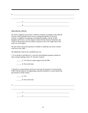| 4. | <u> 1989 - Andrea Aonaichte, ann an t-Aonaichte ann an t-Aonaichte ann an t-Aonaichte ann an t-Aonaichte ann an t-</u> |  |  |  |
|----|------------------------------------------------------------------------------------------------------------------------|--|--|--|
|    |                                                                                                                        |  |  |  |
|    | $\_\_\_\$ A.                                                                                                           |  |  |  |
|    |                                                                                                                        |  |  |  |

#### DIPLOMATIC ISSUES

We need to organize as powerful a collective response as possible in this difficult situation which probably means in part working through the UN Security Council. In addition to preparing a coordinated response with the United Kingdom and France, we must prepare nations like the Russian Federation and China for the prospect that our military response to this crisis might lead to fullscale war in the region.

We also need to revisit the question of whether to undertake any direct contacts with Iran or the CIRD.

The diplomatic issues to be considered now are:

1. If we decide accept Moscow's cease-fire and mediation proposal, should we seek a formal meeting of the U.N. Security Council?

A. Yes and try to gain support from the PRC.

B. Not at this time.

2. Should we contact Britain and France and raise the prospect of contacting the CIRD with the objective of negotiating a peaceful transition to a more democratic government in Saudi Arabia?

A. Yes

B. Not at this time

| J. | <u> 1980 - John Stein, mars and de Britain and de Britain and de Britain and de Britain and de Britain and de Br</u> |  |  |  |
|----|----------------------------------------------------------------------------------------------------------------------|--|--|--|
|    |                                                                                                                      |  |  |  |
|    |                                                                                                                      |  |  |  |
|    |                                                                                                                      |  |  |  |
|    |                                                                                                                      |  |  |  |
|    |                                                                                                                      |  |  |  |
|    |                                                                                                                      |  |  |  |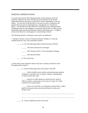#### DOMESTIC CYBERSPACE ISSUES

You will recall from the NSC Meeting on May 18 that elements of the US economic infrastructure which rely heavily on the efficient use of the NII might take defensive measures to reduce their overall vulnerability to IW type attacks. You will also recall that there is an issue as to how to respond to the prospect that Iran may be attacking the U.S. through the use of American agents. You decided at the May 18th NSC meeting that you would not initiate coordinated action by the intelligence community and the FBI, to collect specific information about ties between domestic entities and foreign actors. In light of recent events that issue would appear to warrant being revisited.

The following domestic cyberspace issues need to be addressed:

1. Should we declare a series of financial and bank "holidays" to calm the troubled financial, stock, and commodity markets?

A. Yes, the following markets should closed for 48 hours:

The three national stock exchanges

The Chicago and New York commodity exchanges

The Interstate Banks

 $B.$  Not at this time

 $\overline{a}$ 

 $\overline{a}$ 

2. What other actions should be taken at this time to enhance protection of the NII against future attacks?

A. Take the following actions with respect to the NII:

 Order all public power utilities and petroleum/gas pipeline companies to ask their users to prepare voluntary rationing plans to reduce system flow rates.

 Restrict air traffic (general aviation) into key nodes to reduce air traffic control stress in the event of a major Air Traffic Control (ATC) system failure.

 Direct CIA and NSA, in coordination with the FBI, to collect specific information about ties between domestic entities and foreign actors.

B. Take no additional actions at this time.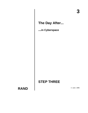# **The Day After...**

**...in Cyberspace**

# **STEP THREE**

**RAND** 3 June 1995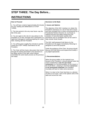## **STEP THREE: The Day Before...**

## **INSTRUCTIONS**

| <b>How to Proceed</b>                                                                                                                                                                                   | <b>Decisions to Be Made</b>                                                                                                                                                                                                                                                                                                                           |  |
|---------------------------------------------------------------------------------------------------------------------------------------------------------------------------------------------------------|-------------------------------------------------------------------------------------------------------------------------------------------------------------------------------------------------------------------------------------------------------------------------------------------------------------------------------------------------------|--|
| 1. You will have a total of approximately 45 minutes<br>for your reading and deliberations on STEP                                                                                                      | I. Issues and Options                                                                                                                                                                                                                                                                                                                                 |  |
| THREE.<br>2. The time period is the very near future--say the<br>fall of this year.                                                                                                                     | The objective of this NSC meeting is to obtain the<br>President's decisions on a set of near-term issues<br>that have emerged from a study commissioned by a<br>Presidential Review Directive on: (1) threats to<br>national security and safety arising from the                                                                                     |  |
| 3. You are again in the role of a top advisor to the<br>President or an NSC principal and a participant in a<br>high-level interagency meeting preparing for a later<br>NSC meeting with the President. | evolution of new information warfare (IW)<br>techniques and (2) strategies that can be used to<br>help counter those threats.                                                                                                                                                                                                                         |  |
| 4. You will be given roughly five minutes to quickly<br>review the STEP THREE Draft Memo for the<br>President.                                                                                          | The NSC staff-prepared Draft Memo for the<br>President (on the pages immediately following) is<br>designed to serve this purpose.                                                                                                                                                                                                                     |  |
| 5. The Chair will then lead a discussion that moves<br>through the tasking described in the Decisions to<br>Be Made section to the right--which follows                                                 | Under the guidance of the Chair, the group should<br>discuss this Draft Memo and expand and modify it<br>as judged appropriate.                                                                                                                                                                                                                       |  |
| essentially the same basic process as the previous<br>two steps.                                                                                                                                        | 2. Recommendations                                                                                                                                                                                                                                                                                                                                    |  |
|                                                                                                                                                                                                         | When the group settles on the material to go<br>forward to the President, it should attempt under the<br>Chair's leadership to see if it can reach<br>consensus on a recommendation on the issues in<br>the Draft Memo - keeping in mind that consensus<br>is not necessarily expected; the President<br>invariably will have to make some decisions. |  |
|                                                                                                                                                                                                         | When it is clear to the Chair that there is a division<br>of views on an issue, vote on the options still on the<br>table and record the vote.                                                                                                                                                                                                        |  |
|                                                                                                                                                                                                         |                                                                                                                                                                                                                                                                                                                                                       |  |
|                                                                                                                                                                                                         |                                                                                                                                                                                                                                                                                                                                                       |  |
|                                                                                                                                                                                                         |                                                                                                                                                                                                                                                                                                                                                       |  |
|                                                                                                                                                                                                         |                                                                                                                                                                                                                                                                                                                                                       |  |
|                                                                                                                                                                                                         |                                                                                                                                                                                                                                                                                                                                                       |  |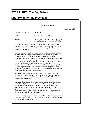## **STEP THREE: The Day Before...**

### **Draft Memo for the President**

| <b>The White House</b>                                                                                                                                                                                                                                                                                                                                                                                                                                                                                                                                                                                                                                                                                                                                                                                                                                      |                                                                                                                                                                                                                                                                                                                                                                                                                                                       |                 |
|-------------------------------------------------------------------------------------------------------------------------------------------------------------------------------------------------------------------------------------------------------------------------------------------------------------------------------------------------------------------------------------------------------------------------------------------------------------------------------------------------------------------------------------------------------------------------------------------------------------------------------------------------------------------------------------------------------------------------------------------------------------------------------------------------------------------------------------------------------------|-------------------------------------------------------------------------------------------------------------------------------------------------------------------------------------------------------------------------------------------------------------------------------------------------------------------------------------------------------------------------------------------------------------------------------------------------------|-----------------|
|                                                                                                                                                                                                                                                                                                                                                                                                                                                                                                                                                                                                                                                                                                                                                                                                                                                             |                                                                                                                                                                                                                                                                                                                                                                                                                                                       | xx October 1995 |
| <b>MEMORANDUM FOR:</b>                                                                                                                                                                                                                                                                                                                                                                                                                                                                                                                                                                                                                                                                                                                                                                                                                                      | The President                                                                                                                                                                                                                                                                                                                                                                                                                                         |                 |
| FROM:                                                                                                                                                                                                                                                                                                                                                                                                                                                                                                                                                                                                                                                                                                                                                                                                                                                       | The National Security Advisor                                                                                                                                                                                                                                                                                                                                                                                                                         |                 |
| <b>SUBJECT:</b>                                                                                                                                                                                                                                                                                                                                                                                                                                                                                                                                                                                                                                                                                                                                                                                                                                             | Threats to National Security and Safety from<br>the New Techniques of Information Warfare                                                                                                                                                                                                                                                                                                                                                             |                 |
| There will be a National Security Council meeting tomorrow on threats to<br>national security and safety arising from the evolution of new information<br>warfare (IW) techniques, and possible steps that might be taken at this time<br>to respond to those threats.                                                                                                                                                                                                                                                                                                                                                                                                                                                                                                                                                                                      |                                                                                                                                                                                                                                                                                                                                                                                                                                                       |                 |
| A recent interagency study of this subject has confirmed that our "national<br>interests" are increasingly dependent on a set of information systems<br>critical not only to U.S. military command, control, and intelligence<br>capability, but also more broadly to U.S. health, safety, and commerce. This<br>set of vital information systems appears to be vulnerable to a spectrum of IW<br>attacks, including disruption and denial of service, implanting false data,<br>covert installation of harmful programs (e.g., viruses), and the outright<br>theft of information. Unlike other threats to U.S. national security, the "cost<br>of entry" to potential attackers is extremely low, enabling attacks to be<br>initiated by other nations, "hackers", terrorists, zealots, disgruntled insiders,<br>criminals, and commercial organizations. |                                                                                                                                                                                                                                                                                                                                                                                                                                                       |                 |
| counters to specific threats.                                                                                                                                                                                                                                                                                                                                                                                                                                                                                                                                                                                                                                                                                                                                                                                                                               | Because of the unconventional nature of this new strategic threat, it is<br>increasingly clear that traditional roles and missions of agencies within the<br>federal government are not fully appropriate to assessing risks and devising                                                                                                                                                                                                             |                 |
| imposition of restrictions on cyberspace.                                                                                                                                                                                                                                                                                                                                                                                                                                                                                                                                                                                                                                                                                                                                                                                                                   | Another problem is that "Cyberspace" transcends our national borders and<br>has traditionally been a forum exhibiting and facilitating freedom of<br>interconnection and expression. There are no current regulations or<br>licensing provisions governing who can connect to the Internet, much less<br>government-mandated systems and security provisions. This raises<br>questions as to how aggressive the U.S. can or should be in pursuing the |                 |
| to warrant near-term attention.                                                                                                                                                                                                                                                                                                                                                                                                                                                                                                                                                                                                                                                                                                                                                                                                                             | The set of strategy and policy issues set forth below attempt to give structure<br>and clarity to several key facets of this complex problem that would appear                                                                                                                                                                                                                                                                                        |                 |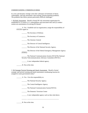### UNDERSTANDING CYBERSPACE RISKS

In a new and dynamic strategic arena like cyberspace all elements of threat, vulnerability, and risk assessment--and warning--present daunting problems. The problems that follow present particularly difficult challenges.

1. IW Risk Assessment. Should a formal IW risk assessment organization be established to: (1) assess U.S. vulnerabilities and associated risks and (2) conduct routine net assessments of evolving IW threats?

 A. Yes. Establish such an organization; assign the responsibility of executive agent to:

The Secretary of Defense.

The Secretary of Commerce.

The Attorney General

The Director of Central Intelligence.

The Director of the National Security Agency.

 The Director of the Federal Emergency Management Agency (FEMA)

 The National Communications System (NCS)/The National Security Telecommunications Advisory Committee (NSTAC)

A new independent federal agency.

B. Not at this time.

2. IW Strategic/Tactical Warning and Attack Assessment. Should a formal strategic and tactical warning and attack assessment coordinating function be assigned to some government entity?

**A.** Yes. Give the responsibility to:

The National Security Agency.

The Central Intelligence Agency.

The National Communication System/NSTAC.

The Domestic Terrorism Center

A new independent agency such as that cited above.

B. Not at this time.

 $=$   $-$ 

 $\overline{a}$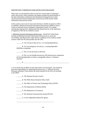### IDENTIFYING CYBERSPACE RISK MITIGATION MEASURES

What steps can and should be taken to meet the critical needs of cyberspace safety and security while retaining to the degree possible the broad benefits of the open information architecture and information-sharing that has to date characterized the National Information Infrastructure (NII) and the Global Information Infrastructure (GII)?

In this context a key issue for near-term decision is whether to launch an effort to establish a Minimum Essential Information Infrastructure (MEII) to meet a variety of national security emergency preparedness needs--for example, insuring that regional force deployments that depend heavily on the operations of segments of the NII are resilient to attack.

1. Minimum Essential Information Infrastructure. Should the United States develop an Minimum Essential Information Infrastructure to assure the survivability and effectiveness under adverse conditions of key military-related systems within the NII (and possibly also the GII)?

A. Yes; for day-to-day use (i.e., no warning dependence).

B. Yes; for emergency use only (i.e., warning dependent transitions acceptable).

C. No; it is not necessary at this time.

 D. No; it is not feasible because key NII infrastructure components are too interdependent to isolate a manageable subset as "minimum essential."

<u>E.E. E. E. E. Alexander and the set of the set of the set of the set of the set of the set of the set of the s</u>

2. If we decide that an MEII of some kind needs to be developed , who should be given the responsibility for organizing the process (e.g. a "Network Security Steering Committee") that chooses the initial elements of the NII to be included in the MEII?

A. The National Security Council.

- B. The White House Domestic Policy Staff.
- C. The Office of Science and Technology Policy (OSTP).
- D. The Department of Defense (DoD).
- E. The Department of Commerce.

 $\overline{a}$ 

- F. The National Communication System/NSTAC.
- G. A new independent federal IW agency.